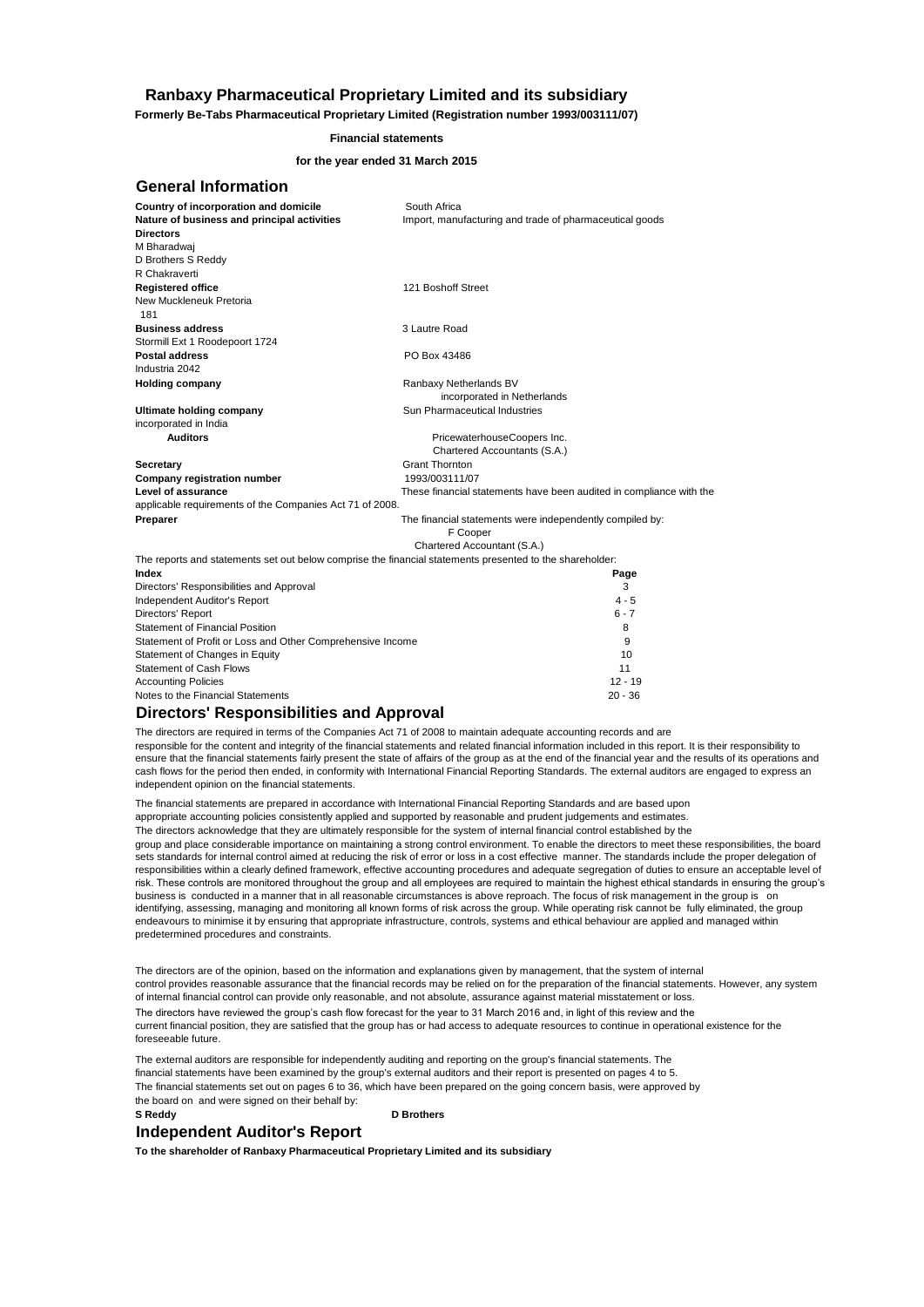# **Ranbaxy Pharmaceutical Proprietary Limited and its subsidiary**

**Formerly Be-Tabs Pharmaceutical Proprietary Limited (Registration number 1993/003111/07)**

### **Financial statements**

### **for the year ended 31 March 2015**

| <b>General Information</b>                                 |                                                                                                          |  |
|------------------------------------------------------------|----------------------------------------------------------------------------------------------------------|--|
| Country of incorporation and domicile                      | South Africa                                                                                             |  |
| Nature of business and principal activities                | Import, manufacturing and trade of pharmaceutical goods                                                  |  |
| <b>Directors</b>                                           |                                                                                                          |  |
| M Bharadwaj                                                |                                                                                                          |  |
| D Brothers S Reddy                                         |                                                                                                          |  |
| R Chakraverti                                              |                                                                                                          |  |
| <b>Registered office</b>                                   | 121 Boshoff Street                                                                                       |  |
| New Muckleneuk Pretoria                                    |                                                                                                          |  |
| 181                                                        |                                                                                                          |  |
| <b>Business address</b>                                    | 3 Lautre Road                                                                                            |  |
| Stormill Ext 1 Roodepoort 1724                             |                                                                                                          |  |
| Postal address                                             | PO Box 43486                                                                                             |  |
| Industria 2042                                             |                                                                                                          |  |
| <b>Holding company</b>                                     | Ranbaxy Netherlands BV                                                                                   |  |
|                                                            | incorporated in Netherlands                                                                              |  |
| Ultimate holding company                                   | Sun Pharmaceutical Industries                                                                            |  |
| incorporated in India                                      |                                                                                                          |  |
| <b>Auditors</b>                                            | PricewaterhouseCoopers Inc.                                                                              |  |
|                                                            | Chartered Accountants (S.A.)                                                                             |  |
| <b>Secretary</b>                                           | <b>Grant Thornton</b>                                                                                    |  |
| Company registration number                                | 1993/003111/07                                                                                           |  |
| Level of assurance                                         | These financial statements have been audited in compliance with the                                      |  |
| applicable requirements of the Companies Act 71 of 2008.   |                                                                                                          |  |
| Preparer                                                   | The financial statements were independently compiled by:                                                 |  |
|                                                            | F Cooper                                                                                                 |  |
|                                                            | Chartered Accountant (S.A.)                                                                              |  |
|                                                            | The reports and statements set out below comprise the financial statements presented to the shareholder: |  |
| Index                                                      | Page                                                                                                     |  |
| Directors' Responsibilities and Approval                   | 3                                                                                                        |  |
| Independent Auditor's Report                               | $4 - 5$                                                                                                  |  |
| Directors' Report                                          | $6 - 7$                                                                                                  |  |
| <b>Statement of Financial Position</b>                     | 8                                                                                                        |  |
| Statement of Profit or Loss and Other Comprehensive Income | 9                                                                                                        |  |
| Statement of Changes in Equity                             | 10                                                                                                       |  |
| <b>Statement of Cash Flows</b>                             | 11                                                                                                       |  |
| <b>Accounting Policies</b>                                 | $12 - 19$                                                                                                |  |

### Notes to the Financial Statements 20 - 36 **Directors' Responsibilities and Approval**

The directors are required in terms of the Companies Act 71 of 2008 to maintain adequate accounting records and are responsible for the content and integrity of the financial statements and related financial information included in this report. It is their responsibility to ensure that the financial statements fairly present the state of affairs of the group as at the end of the financial year and the results of its operations and cash flows for the period then ended, in conformity with International Financial Reporting Standards. The external auditors are engaged to express an independent opinion on the financial statements.

The financial statements are prepared in accordance with International Financial Reporting Standards and are based upon appropriate accounting policies consistently applied and supported by reasonable and prudent judgements and estimates. The directors acknowledge that they are ultimately responsible for the system of internal financial control established by the group and place considerable importance on maintaining a strong control environment. To enable the directors to meet these responsibilities, the board sets standards for internal control aimed at reducing the risk of error or loss in a cost effective manner. The standards include the proper delegation of responsibilities within a clearly defined framework, effective accounting procedures and adequate segregation of duties to ensure an acceptable level of risk. These controls are monitored throughout the group and all employees are required to maintain the highest ethical standards in ensuring the group's business is conducted in a manner that in all reasonable circumstances is above reproach. The focus of risk management in the group is on identifying, assessing, managing and monitoring all known forms of risk across the group. While operating risk cannot be fully eliminated, the group endeavours to minimise it by ensuring that appropriate infrastructure, controls, systems and ethical behaviour are applied and managed within predetermined procedures and constraints.

The directors are of the opinion, based on the information and explanations given by management, that the system of internal The directors have reviewed the group's cash flow forecast for the year to 31 March 2016 and, in light of this review and the control provides reasonable assurance that the financial records may be relied on for the preparation of the financial statements. However, any system of internal financial control can provide only reasonable, and not absolute, assurance against material misstatement or loss. current financial position, they are satisfied that the group has or had access to adequate resources to continue in operational existence for the foreseeable future.

The external auditors are responsible for independently auditing and reporting on the group's financial statements. The financial statements have been examined by the group's external auditors and their report is presented on pages 4 to 5. The financial statements set out on pages 6 to 36, which have been prepared on the going concern basis, were approved by the board on and were signed on their behalf by: **S Reddy D Brothers**

## **Independent Auditor's Report**

**To the shareholder of Ranbaxy Pharmaceutical Proprietary Limited and its subsidiary**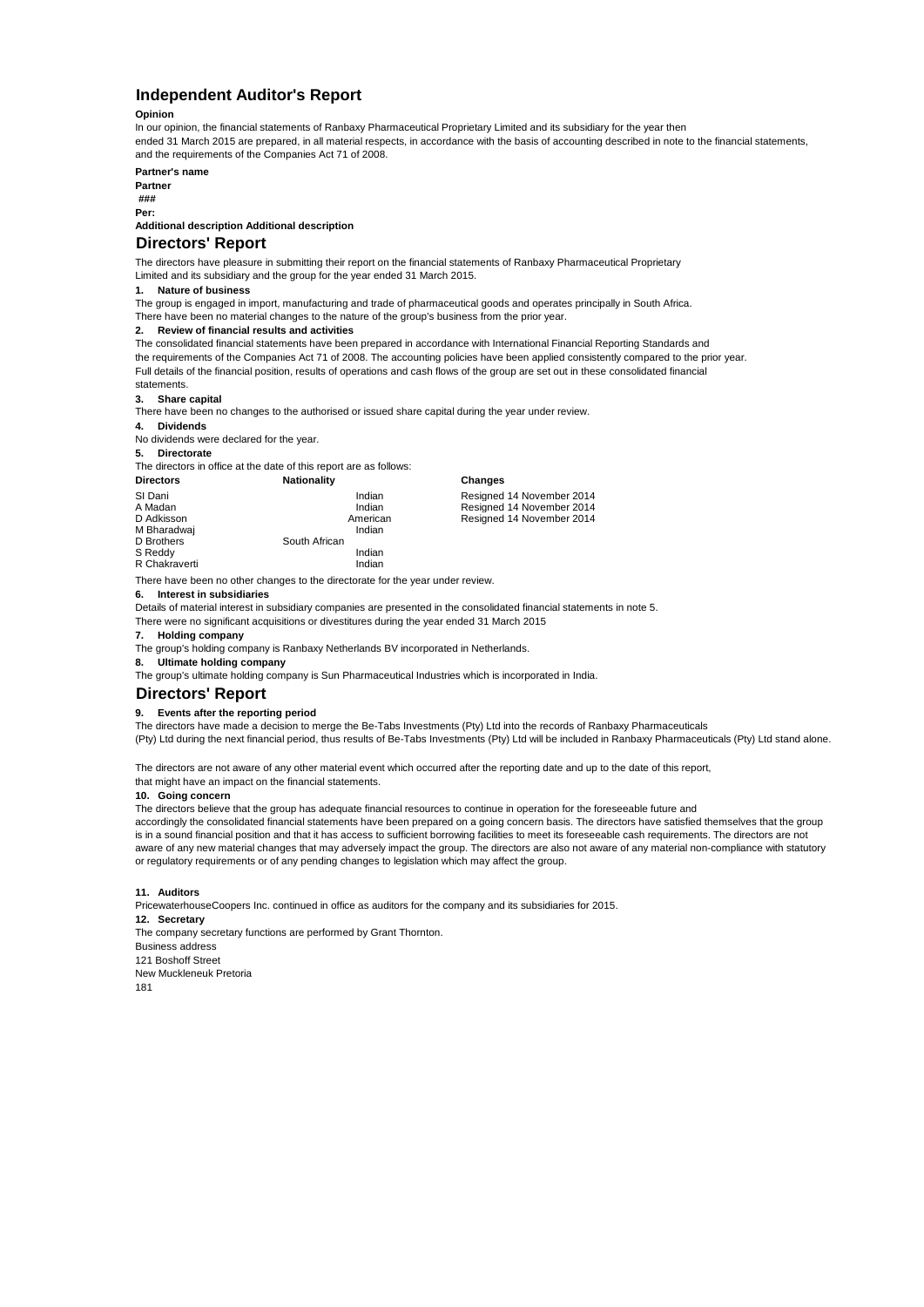## **Independent Auditor's Report**

### **Opinion**

In our opinion, the financial statements of Ranbaxy Pharmaceutical Proprietary Limited and its subsidiary for the year then ended 31 March 2015 are prepared, in all material respects, in accordance with the basis of accounting described in note to the financial statements, and the requirements of the Companies Act 71 of 2008.

**Partner's name**

**Partner ###**

**Per:**

## **Additional description Additional description**

### **Directors' Report**

The directors have pleasure in submitting their report on the financial statements of Ranbaxy Pharmaceutical Proprietary Limited and its subsidiary and the group for the year ended 31 March 2015.

### **1. Nature of business**

The group is engaged in import, manufacturing and trade of pharmaceutical goods and operates principally in South Africa. There have been no material changes to the nature of the group's business from the prior year.

### **2. Review of financial results and activities**

The consolidated financial statements have been prepared in accordance with International Financial Reporting Standards and the requirements of the Companies Act 71 of 2008. The accounting policies have been applied consistently compared to the prior year. Full details of the financial position, results of operations and cash flows of the group are set out in these consolidated financial

#### statements. **3. Share capital**

There have been no changes to the authorised or issued share capital during the year under review.

**4. Dividends**

No dividends were declared for the year.

### **5. Directorate**

R Chakraverti

M Bharadwai

The directors in office at the date of this report are as follows: on a consumer and the matter of the consumer and the consumer and the consumer and the consumer and the consumer American Resigned 14 November 2014<br>American Resigned 14 November 2014<br>Indian **Directors Nationality Changes** SI Dani **Indian** Resigned 14 November 2014<br>A Madan **Indian Resigned 14 November 2014** Resigned 14 November 2014

There have been no other changes to the directorate for the year under review.

**6. Interest in subsidiaries**

Details of material interest in subsidiary companies are presented in the consolidated financial statements in note 5.

There were no significant acquisitions or divestitures during the year ended 31 March 2015

S Reddy Bosantimical Indian<br>R Chakraverti Indian

D Brothers South African

### **7. Holding company**

The group's holding company is Ranbaxy Netherlands BV incorporated in Netherlands.

### **8. Ultimate holding company**

The group's ultimate holding company is Sun Pharmaceutical Industries which is incorporated in India.

### **Directors' Report**

### **9. Events after the reporting period**

The directors have made a decision to merge the Be-Tabs Investments (Pty) Ltd into the records of Ranbaxy Pharmaceuticals

(Pty) Ltd during the next financial period, thus results of Be-Tabs Investments (Pty) Ltd will be included in Ranbaxy Pharmaceuticals (Pty) Ltd stand alone.

The directors are not aware of any other material event which occurred after the reporting date and up to the date of this report, that might have an impact on the financial statements.

#### **10. Going concern**

The directors believe that the group has adequate financial resources to continue in operation for the foreseeable future and

accordingly the consolidated financial statements have been prepared on a going concern basis. The directors have satisfied themselves that the group is in a sound financial position and that it has access to sufficient borrowing facilities to meet its foreseeable cash requirements. The directors are not aware of any new material changes that may adversely impact the group. The directors are also not aware of any material non-compliance with statutory or regulatory requirements or of any pending changes to legislation which may affect the group.

### **11. Auditors**

PricewaterhouseCoopers Inc. continued in office as auditors for the company and its subsidiaries for 2015. **12. Secretary**

The company secretary functions are performed by Grant Thornton. Business address 121 Boshoff Street New Muckleneuk Pretoria 181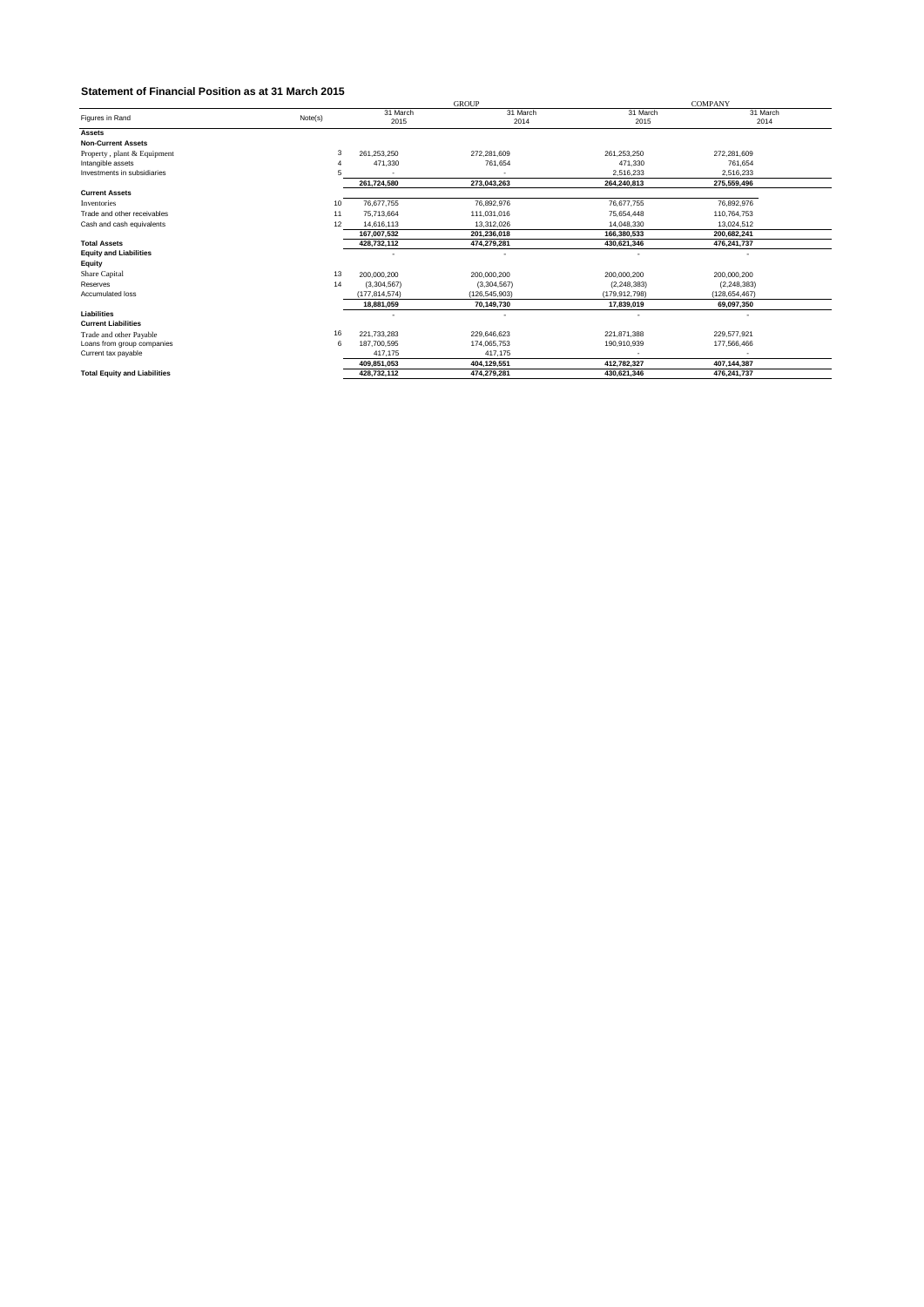### **Statement of Financial Position as at 31 March 2015**

|                                     |         |                  | <b>GROUP</b>     |                  | <b>COMPANY</b>   |  |
|-------------------------------------|---------|------------------|------------------|------------------|------------------|--|
| Figures in Rand                     | Note(s) | 31 March<br>2015 | 31 March<br>2014 | 31 March<br>2015 | 31 March<br>2014 |  |
| <b>Assets</b>                       |         |                  |                  |                  |                  |  |
| <b>Non-Current Assets</b>           |         |                  |                  |                  |                  |  |
| Property, plant & Equipment         | 3       | 261.253.250      | 272.281.609      | 261.253.250      | 272.281.609      |  |
| Intangible assets                   |         | 471,330          | 761,654          | 471.330          | 761,654          |  |
| Investments in subsidiaries         |         |                  |                  | 2.516.233        | 2.516.233        |  |
|                                     |         | 261,724,580      | 273.043.263      | 264,240,813      | 275,559,496      |  |
| <b>Current Assets</b>               |         |                  |                  |                  |                  |  |
| Inventories                         | 10      | 76,677,755       | 76,892,976       | 76,677,755       | 76,892,976       |  |
| Trade and other receivables         | 11      | 75.713.664       | 111.031.016      | 75,654,448       | 110,764,753      |  |
| Cash and cash equivalents           | 12      | 14,616,113       | 13,312,026       | 14,048,330       | 13,024,512       |  |
|                                     |         | 167,007,532      | 201.236.018      | 166.380.533      | 200.682.241      |  |
| <b>Total Assets</b>                 |         | 428,732,112      | 474,279,281      | 430,621,346      | 476,241,737      |  |
| <b>Equity and Liabilities</b>       |         |                  |                  |                  |                  |  |
| Equity                              |         |                  |                  |                  |                  |  |
| Share Capital                       | 13      | 200,000,200      | 200,000,200      | 200,000,200      | 200,000,200      |  |
| Reserves                            | 14      | (3,304,567)      | (3,304,567)      | (2, 248, 383)    | (2, 248, 383)    |  |
| Accumulated loss                    |         | (177, 814, 574)  | (126, 545, 903)  | (179.912.798)    | (128, 654, 467)  |  |
|                                     |         | 18,881,059       | 70,149,730       | 17,839,019       | 69,097,350       |  |
| Liabilities                         |         | $\sim$           | $\sim$           |                  |                  |  |
| <b>Current Liabilities</b>          |         |                  |                  |                  |                  |  |
| Trade and other Payable             | 16      | 221,733,283      | 229,646,623      | 221,871,388      | 229,577,921      |  |
| Loans from group companies          | 6       | 187,700,595      | 174,065,753      | 190,910,939      | 177,566,466      |  |
| Current tax payable                 |         | 417,175          | 417,175          |                  |                  |  |
|                                     |         | 409,851,053      | 404,129,551      | 412,782,327      | 407,144,387      |  |
| <b>Total Equity and Liabilities</b> |         | 428.732.112      | 474.279.281      | 430.621.346      | 476.241.737      |  |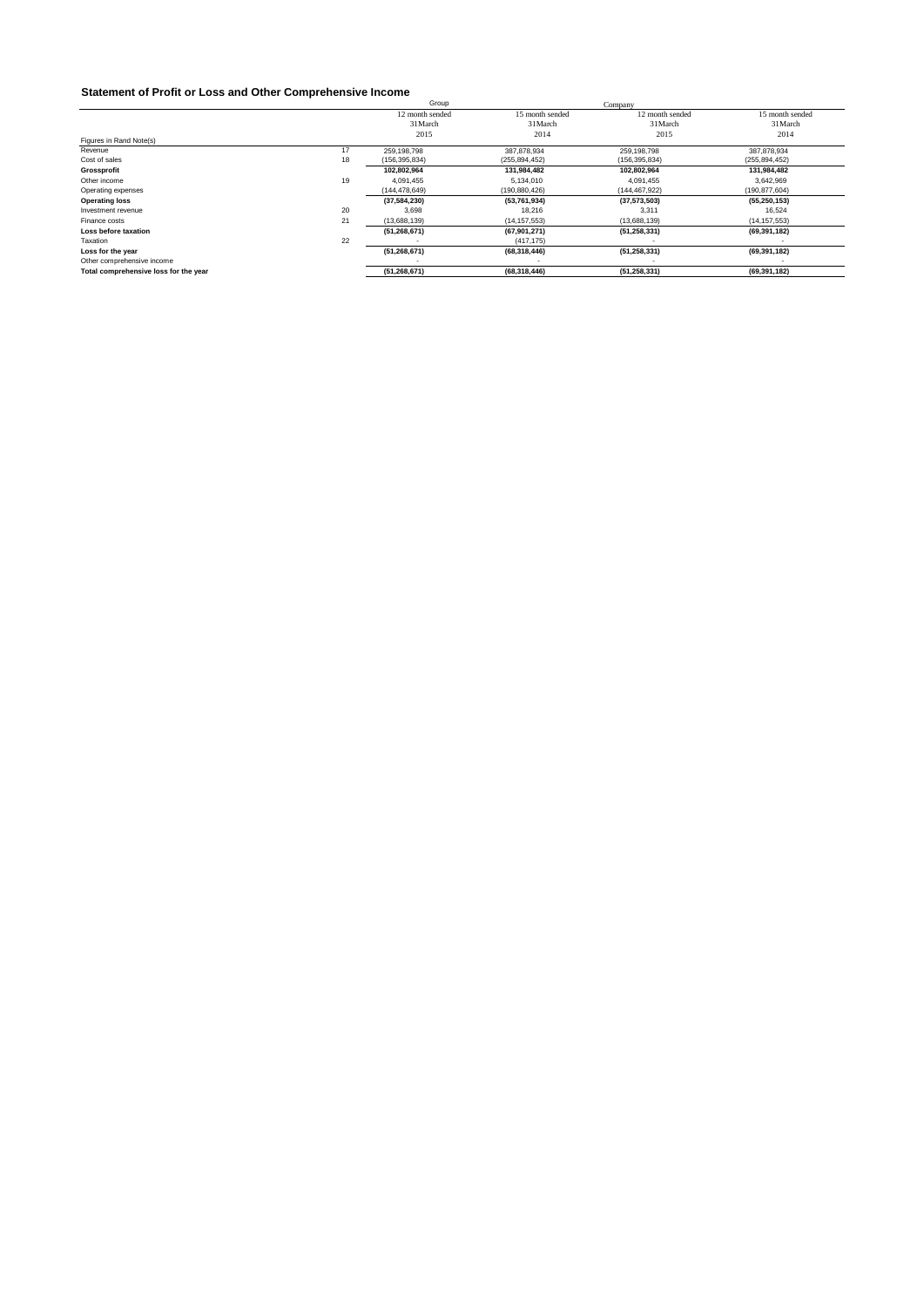# **Statement of Profit or Loss and Other Comprehensive Income**

| Group<br>Company<br>12 month sended<br>15 month sended<br>15 month sended<br>12 month sended<br>31 March<br>31 March<br>31 March<br>31 March<br>2015<br>2014<br>2015<br>2014<br>Figures in Rand Note(s)<br>17<br>387,878,934<br>259, 198, 798<br>387,878,934<br>Revenue<br>259, 198, 798<br>18<br>Cost of sales<br>(255, 894, 452)<br>(156, 395, 834)<br>(255, 894, 452)<br>(156, 395, 834) |  |
|---------------------------------------------------------------------------------------------------------------------------------------------------------------------------------------------------------------------------------------------------------------------------------------------------------------------------------------------------------------------------------------------|--|
|                                                                                                                                                                                                                                                                                                                                                                                             |  |
|                                                                                                                                                                                                                                                                                                                                                                                             |  |
|                                                                                                                                                                                                                                                                                                                                                                                             |  |
|                                                                                                                                                                                                                                                                                                                                                                                             |  |
|                                                                                                                                                                                                                                                                                                                                                                                             |  |
|                                                                                                                                                                                                                                                                                                                                                                                             |  |
|                                                                                                                                                                                                                                                                                                                                                                                             |  |
| 131,984,482<br>131,984,482<br>102.802.964<br>102,802,964<br>Grossprofit                                                                                                                                                                                                                                                                                                                     |  |
| 19<br>3,642,969<br>Other income<br>4,091,455<br>5,134,010<br>4,091,455                                                                                                                                                                                                                                                                                                                      |  |
| (144,467,922)<br>(190, 877, 604)<br>Operating expenses<br>(144, 478, 649)<br>(190,880,426)                                                                                                                                                                                                                                                                                                  |  |
| <b>Operating loss</b><br>(37, 584, 230)<br>(53, 761, 934)<br>(37, 573, 503)<br>(55, 250, 153)                                                                                                                                                                                                                                                                                               |  |
| 20<br>16,524<br>3,698<br>18.216<br>3,311<br>Investment revenue                                                                                                                                                                                                                                                                                                                              |  |
| 21<br>(13,688,139)<br>(14, 157, 553)<br>(13,688,139)<br>(14, 157, 553)<br>Finance costs                                                                                                                                                                                                                                                                                                     |  |
| Loss before taxation<br>(51, 268, 671)<br>(67, 901, 271)<br>(51, 258, 331)<br>(69, 391, 182)                                                                                                                                                                                                                                                                                                |  |
| 22<br>(417, 175)<br>Taxation                                                                                                                                                                                                                                                                                                                                                                |  |
| Loss for the year<br>(51, 268, 671)<br>(68, 318, 446)<br>(51, 258, 331)<br>(69, 391, 182)                                                                                                                                                                                                                                                                                                   |  |
| Other comprehensive income                                                                                                                                                                                                                                                                                                                                                                  |  |
| Total comprehensive loss for the year<br>(51, 268, 671)<br>(68, 318, 446)<br>(51, 258, 331)<br>(69, 391, 182)                                                                                                                                                                                                                                                                               |  |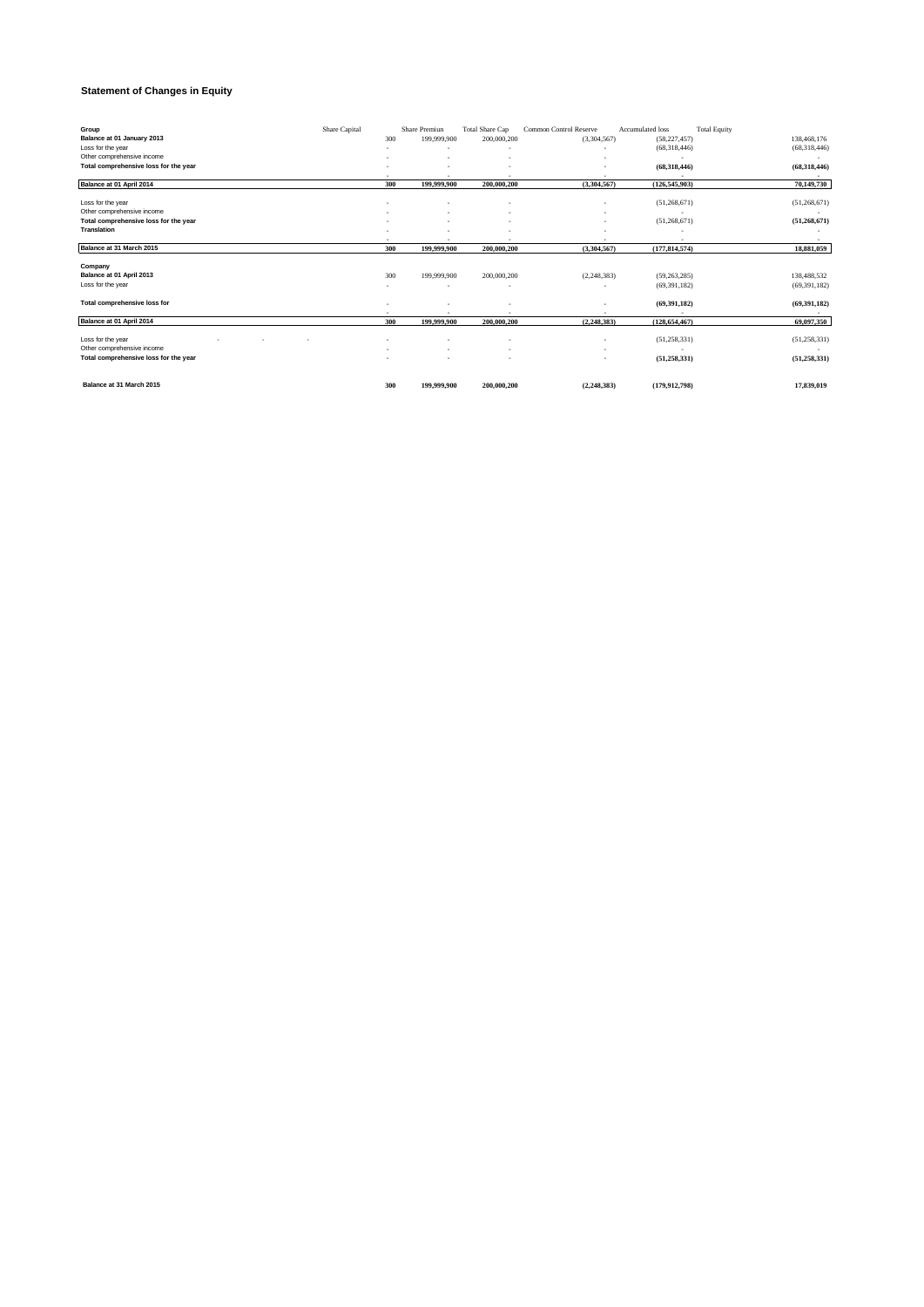### **Statement of Changes in Equity**

| Group                                 | Share Capital | Share Premiun | Total Share Cap          | Common Control Reserve   | <b>Accumulated</b> loss | <b>Total Equity</b> |
|---------------------------------------|---------------|---------------|--------------------------|--------------------------|-------------------------|---------------------|
| Balance at 01 January 2013            | 300           | 199,999,900   | 200,000,200              | (3,304,567)              | (58, 227, 457)          | 138,468,176         |
| Loss for the year                     |               |               |                          |                          | (68,318,446)            | (68,318,446)        |
| Other comprehensive income            |               |               |                          |                          |                         |                     |
| Total comprehensive loss for the year |               |               |                          |                          | (68,318,446)            | (68,318,446)        |
|                                       |               |               |                          |                          |                         |                     |
| Balance at 01 April 2014              | 300           | 199,999,900   | 200,000,200              | (3,304,567)              | (126, 545, 903)         | 70,149,730          |
|                                       |               |               |                          |                          |                         |                     |
| Loss for the year                     | ٠             |               | $\overline{\phantom{a}}$ | $\overline{\phantom{a}}$ | (51, 268, 671)          | (51, 268, 671)      |
| Other comprehensive income            |               |               |                          |                          | $\overline{a}$          |                     |
| Total comprehensive loss for the year |               |               |                          |                          | (51, 268, 671)          | (51, 268, 671)      |
| Translation                           |               |               |                          |                          |                         |                     |
|                                       |               |               |                          |                          |                         |                     |
| Balance at 31 March 2015              | 300           | 199,999,900   | 200,000.200              | (3.304.567)              | (177.814.574)           | 18,881,059          |
| Company                               |               |               |                          |                          |                         |                     |
| Balance at 01 April 2013              | 300           | 199,999,900   | 200,000,200              | (2, 248, 383)            | (59.263.285)            | 138,488,532         |
| Loss for the year                     |               |               |                          |                          | (69, 391, 182)          | (69, 391, 182)      |
|                                       |               |               |                          |                          |                         |                     |
| Total comprehensive loss for          | ٠             |               |                          |                          | (69.391.182)            | (69, 391, 182)      |
| Balance at 01 April 2014              | 300           | 199,999,900   | 200,000,200              | (2, 248, 383)            | (128, 654, 467)         | 69,097,350          |
|                                       |               |               |                          |                          |                         |                     |
| Loss for the year                     | ÷             |               |                          | $\sim$                   | (51, 258, 331)          | (51, 258, 331)      |
| Other comprehensive income            |               |               |                          | $\overline{\phantom{a}}$ |                         |                     |
| Total comprehensive loss for the year |               |               |                          |                          | (51, 258, 331)          | (51, 258, 331)      |
|                                       |               |               |                          |                          |                         |                     |
| Balance at 31 March 2015              | 300           | 199,999,900   | 200,000,200              | (2, 248, 383)            | (179, 912, 798)         | 17,839,019          |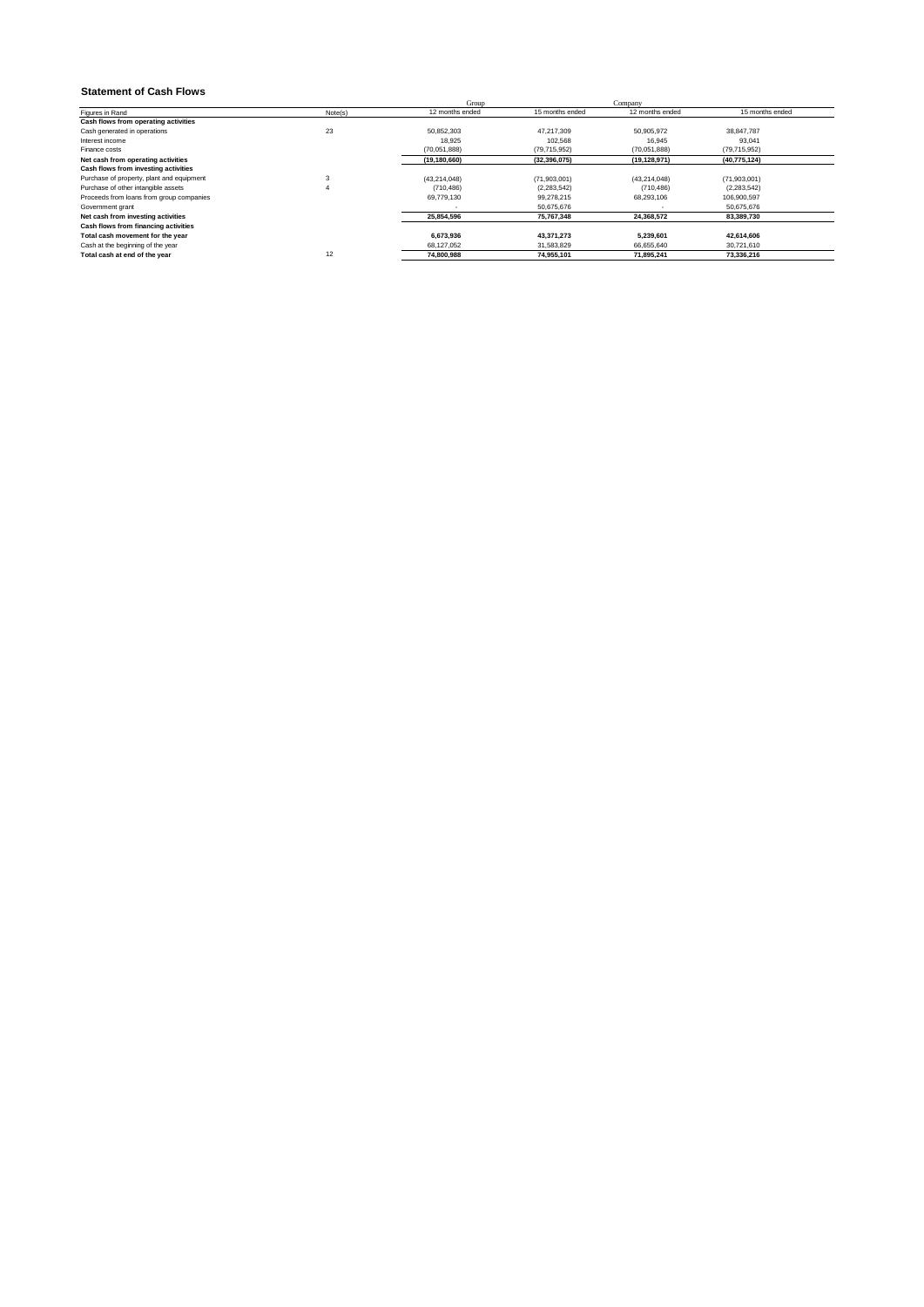### **Statement of Cash Flows**

| <b>Statement of Cash Flows</b>            |         |                 |                 |                 |                 |
|-------------------------------------------|---------|-----------------|-----------------|-----------------|-----------------|
|                                           |         | Group           |                 | Company         |                 |
| Figures in Rand                           | Note(s) | 12 months ended | 15 months ended | 12 months ended | 15 months ended |
| Cash flows from operating activities      |         |                 |                 |                 |                 |
| Cash generated in operations              | 23      | 50,852,303      | 47,217,309      | 50,905,972      | 38,847,787      |
| Interest income                           |         | 18,925          | 102,568         | 16,945          | 93.041          |
| Finance costs                             |         | (70,051,888)    | (79, 715, 952)  | (70,051,888)    | (79, 715, 952)  |
| Net cash from operating activities        |         | (19, 180, 660)  | (32, 396, 075)  | (19, 128, 971)  | (40, 775, 124)  |
| Cash flows from investing activities      |         |                 |                 |                 |                 |
| Purchase of property, plant and equipment |         | (43, 214, 048)  | (71,903,001)    | (43, 214, 048)  | (71,903,001)    |
| Purchase of other intangible assets       |         | (710, 486)      | (2,283,542)     | (710, 486)      | (2,283,542)     |
| Proceeds from loans from group companies  |         | 69,779,130      | 99,278,215      | 68,293,106      | 106,900,597     |
| Government grant                          |         |                 | 50,675,676      |                 | 50,675,676      |
| Net cash from investing activities        |         | 25,854,596      | 75.767.348      | 24,368,572      | 83,389,730      |
| Cash flows from financing activities      |         |                 |                 |                 |                 |
| Total cash movement for the year          |         | 6,673,936       | 43,371,273      | 5,239,601       | 42,614,606      |
| Cash at the beginning of the year         |         | 68,127,052      | 31,583,829      | 66,655,640      | 30,721,610      |
| Total cash at end of the vear             | 12      | 74.800.988      | 74.955.101      | 71,895,241      | 73.336.216      |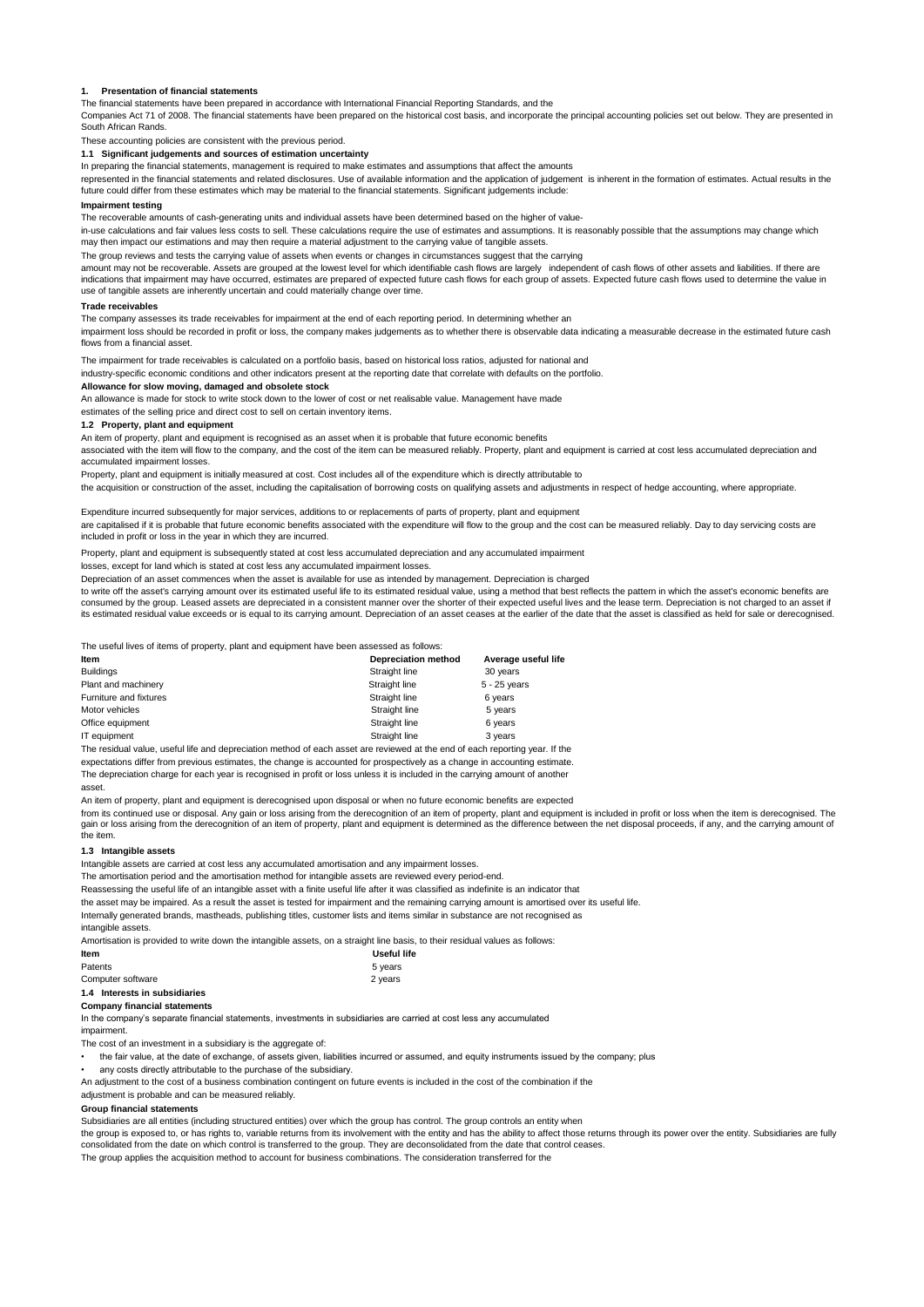#### **1. Presentation of financial statements**

The financial statements have been prepared in accordance with International Financial Reporting Standards, and the

Companies Act 71 of 2008. The financial statements have been prepared on the historical cost basis, and incorporate the principal accounting policies set out below. They are presented in South African Rands.

### These accounting policies are consistent with the previous period.

**1.1 Significant judgements and sources of estimation uncertainty**

In preparing the financial statements, management is required to make estimates and assumptions that affect the amounts

represented in the financial statements and related disclosures. Use of available information and the application of judgement is inherent in the formation of estimates. Actual results in the future could differ from these estimates which may be material to the financial statements. Significant judgements include:

#### **Impairment testing**

The recoverable amounts of cash-generating units and individual assets have been determined based on the higher of value-

in-use calculations and fair values less costs to sell. These calculations require the use of estimates and assumptions. It is reasonably possible that the assumptions may change which may then impact our estimations and may then require a material adjustment to the carrying value of tangible assets.

The group reviews and tests the carrying value of assets when events or changes in circumstances suggest that the carrying

amount may not be recoverable. Assets are grouped at the lowest level for which identifiable cash flows are largely independent of cash flows of other assets and liabilities. If there are indications that impairment may have occurred, estimates are prepared of expected future cash flows for each group of assets. Expected future cash flows used to determine the value in use of tangible assets are inherently uncertain and could materially change over time.

#### **Trade receivables**

The company assesses its trade receivables for impairment at the end of each reporting period. In determining whether an

impairment loss should be recorded in profit or loss, the company makes judgements as to whether there is observable data indicating a measurable decrease in the estimated future cash flows from a financial asset.

The impairment for trade receivables is calculated on a portfolio basis, based on historical loss ratios, adjusted for national and

industry-specific economic conditions and other indicators present at the reporting date that correlate with defaults on the portfolio.

# **Allowance for slow moving, damaged and obsolete stock**

An allowance is made for stock to write stock down to the lower of cost or net realisable value. Management have made

estimates of the selling price and direct cost to sell on certain inventory items.

#### **1.2 Property, plant and equipment**

An item of property, plant and equipment is recognised as an asset when it is probable that future economic benefits

associated with the item will flow to the company, and the cost of the item can be measured reliably. Property, plant and equipment is carried at cost less accumulated depreciation and accumulated impairment losses.

Property, plant and equipment is initially measured at cost. Cost includes all of the expenditure which is directly attributable to

the acquisition or construction of the asset, including the capitalisation of borrowing costs on qualifying assets and adjustments in respect of hedge accounting, where appropriate

Expenditure incurred subsequently for major services, additions to or replacements of parts of property, plant and equipment are capitalised if it is probable that future economic benefits associated with the expenditure will flow to the group and the cost can be measured reliably. Day to day servicing costs are included in profit or loss in the year in which they are incurred.

Property, plant and equipment is subsequently stated at cost less accumulated depreciation and any accumulated impairment

losses, except for land which is stated at cost less any accumulated impairment losses.

Depreciation of an asset commences when the asset is available for use as intended by management. Depreciation is charged

to write off the asset's carrying amount over its estimated useful life to its estimated residual value, using a method that best reflects the pattern in which the asset's economic benefits are consumed by the group. Leased assets are depreciated in a consistent manner over the shorter of their expected useful lives and the lease term. Depreciation is not charged to an asset if its estimated residual value exceeds or is equal to its carrying amount. Depreciation of an asset ceases at the earlier of the date that the asset is classified as held for sale or derecognised.

The useful lives of items of property, plant and equipment have been assessed as follows:

| ltem                                                                                                                         | Depreciation method | Average useful life |
|------------------------------------------------------------------------------------------------------------------------------|---------------------|---------------------|
| <b>Buildings</b>                                                                                                             | Straight line       | 30 years            |
| Plant and machinery                                                                                                          | Straight line       | $5 - 25$ years      |
| Furniture and fixtures                                                                                                       | Straight line       | 6 years             |
| Motor vehicles                                                                                                               | Straight line       | 5 years             |
| Office equipment                                                                                                             | Straight line       | 6 years             |
| IT equipment                                                                                                                 | Straight line       | 3 years             |
| The residual value, useful life and depreciation method of each asset are reviewed at the end of each reporting year. If the |                     |                     |

expectations differ from previous estimates, the change is accounted for prospectively as a change in accounting estimate. The depreciation charge for each year is recognised in profit or loss unless it is included in the carrying amount of another asset.

An item of property, plant and equipment is derecognised upon disposal or when no future economic benefits are expected

from its continued use or disposal. Any gain or loss arising from the derecognition of an item of property, plant and equipment is included in profit or loss when the item is derecognised. The<br>gain or loss arising from the the item.

#### **1.3 Intangible assets**

Intangible assets are carried at cost less any accumulated amortisation and any impairment losses.

The amortisation period and the amortisation method for intangible assets are reviewed every period-end.

- Reassessing the useful life of an intangible asset with a finite useful life after it was classified as indefinite is an indicator that
- the asset may be impaired. As a result the asset is tested for impairment and the remaining carrying amount is amortised over its useful life.
- Internally generated brands, mastheads, publishing titles, customer lists and items similar in substance are not recognised as intangible assets.

Amortisation is provided to write down the intangible assets, on a straight line basis, to their residual values as follows:

| Item              | Useful life |
|-------------------|-------------|
| Patents           | 5 years     |
| Computer software | 2 years     |

## **1.4 Interests in subsidiaries**

#### **Company financial statements**

In the company's separate financial statements, investments in subsidiaries are carried at cost less any accumulated

impairment.

The cost of an investment in a subsidiary is the aggregate of:

• the fair value, at the date of exchange, of assets given, liabilities incurred or assumed, and equity instruments issued by the company; plus

- any costs directly attributable to the purchase of the subsidiary.
- An adjustment to the cost of a business combination contingent on future events is included in the cost of the combination if the

adjustment is probable and can be measured reliably.

#### **Group financial statements**

Subsidiaries are all entities (including structured entities) over which the group has control. The group controls an entity when

the group is exposed to, or has rights to, variable returns from its involvement with the entity and has the ability to affect those returns through its power over the entity. Subsidiaries are fully consolidated from the date on which control is transferred to the group. They are deconsolidated from the date that control ceases.

The group applies the acquisition method to account for business combinations. The consideration transferred for the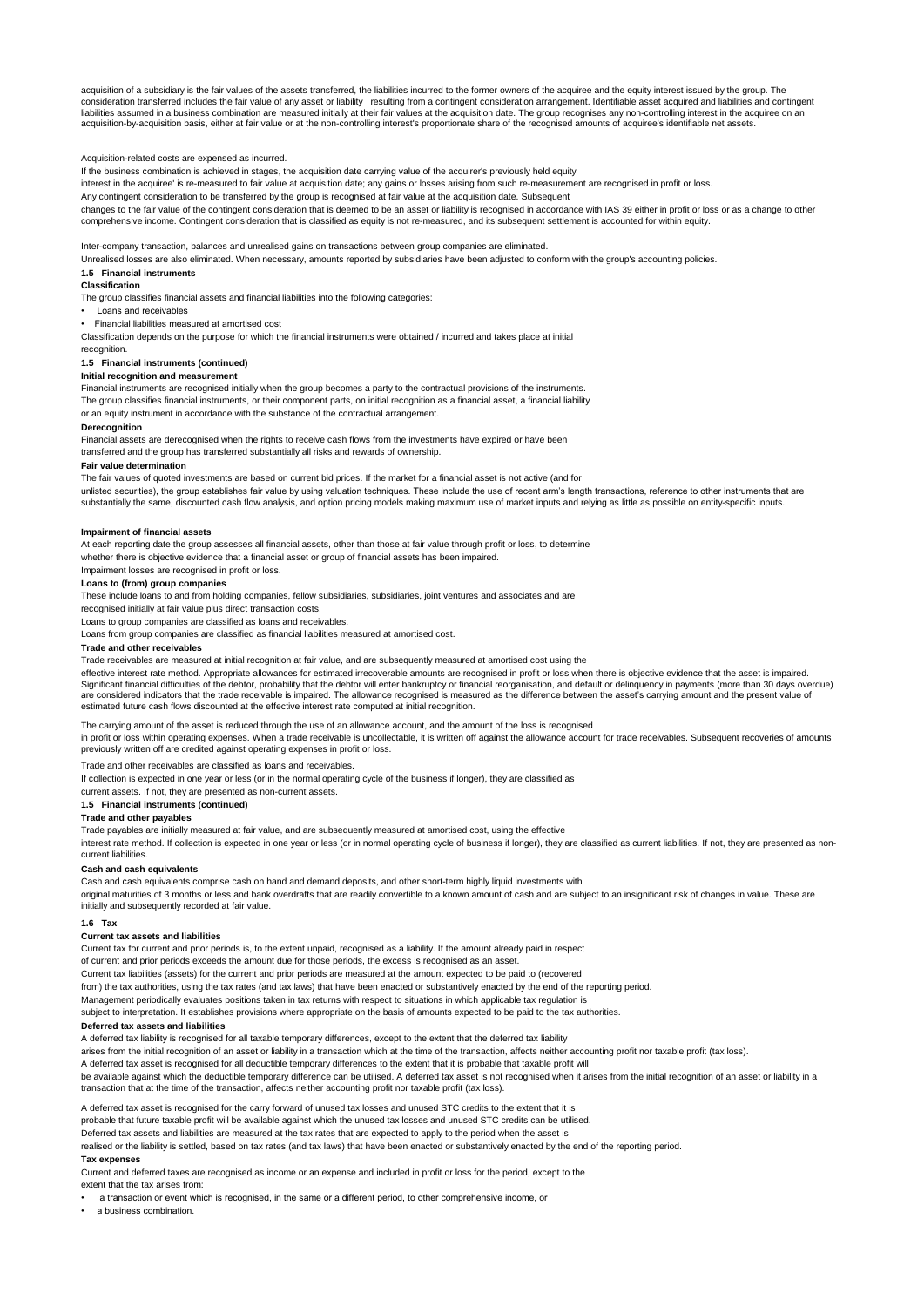acquisition of a subsidiary is the fair values of the assets transferred, the liabilities incurred to the former owners of the acquiree and the equity interest issued by the group. The consideration transferred includes the fair value of any asset or liability resulting from a contingent consideration arrangement. Identifiable asset acquired and liabilities and contingent liabilities assumed in a business combination are measured initially at their fair values at the acquisition date. The group recognises any non-controlling interest in the acquiree on an acquisition-by-acquisition basis, either at fair value or at the non-controlling interest's proportionate share of the recognised amounts of acquiree's identifiable net assets.

#### Acquisition-related costs are expensed as incurred.

If the business combination is achieved in stages, the acquisition date carrying value of the acquirer's previously held equity

interest in the acquiree' is re-measured to fair value at acquisition date; any gains or losses arising from such re-measurement are recognised in profit or loss.

Any contingent consideration to be transferred by the group is recognised at fair value at the acquisition date. Subsequent

changes to the fair value of the contingent consideration that is deemed to be an asset or liability is recognised in accordance with IAS 39 either in profit or loss or as a change to other comprehensive income. Contingent consideration that is classified as equity is not re-measured, and its subsequent settlement is accounted for within equity.

Inter-company transaction, balances and unrealised gains on transactions between group companies are eliminated.

Unrealised losses are also eliminated. When necessary, amounts reported by subsidiaries have been adjusted to conform with the group's accounting policies.

#### **1.5 Financial instruments**

### **Classification**

The group classifies financial assets and financial liabilities into the following categories:

### • Loans and receivables

• Financial liabilities measured at amortised cost

Classification depends on the purpose for which the financial instruments were obtained / incurred and takes place at initial

#### recognition.

**1.5 Financial instruments (continued)**

#### **Initial recognition and measurement**

Financial instruments are recognised initially when the group becomes a party to the contractual provisions of the instruments.

The group classifies financial instruments, or their component parts, on initial recognition as a financial asset, a financial liability

or an equity instrument in accordance with the substance of the contractual arrangement.

#### **Derecognition**

Financial assets are derecognised when the rights to receive cash flows from the investments have expired or have been

transferred and the group has transferred substantially all risks and rewards of ownership.

#### **Fair value determination**

The fair values of quoted investments are based on current bid prices. If the market for a financial asset is not active (and for

unlisted securities), the group establishes fair value by using valuation techniques. These include the use of recent arm's length transactions, reference to other instruments that are<br>substantially the same, discounted ca

#### **Impairment of financial assets**

At each reporting date the group assesses all financial assets, other than those at fair value through profit or loss, to determine

whether there is objective evidence that a financial asset or group of financial assets has been impaired.

Impairment losses are recognised in profit or loss.

### **Loans to (from) group companies**

These include loans to and from holding companies, fellow subsidiaries, subsidiaries, joint ventures and associates and are

recognised initially at fair value plus direct transaction costs.

Loans to group companies are classified as loans and receivables.

Loans from group companies are classified as financial liabilities measured at amortised cost.

#### **Trade and other receivables**

Trade receivables are measured at initial recognition at fair value, and are subsequently measured at amortised cost using the

effective interest rate method. Appropriate allowances for estimated irrecoverable amounts are recognised in profit or loss when there is objective evidence that the asset is impaired. Significant financial difficulties of the debtor, probability that the debtor will enter bankruptcy or financial reorganisation, and default or delinquency in payments (more than 30 days overdue) are considered indicators that the trade receivable is impaired. The allowance recognised is measured as the difference between the asset's carrying amount and the present value of estimated future cash flows discounted at the effective interest rate computed at initial recognition.

The carrying amount of the asset is reduced through the use of an allowance account, and the amount of the loss is recognised

in profit or loss within operating expenses. When a trade receivable is uncollectable, it is written off against the allowance account for trade receivables. Subsequent recoveries of amounts previously written off are credited against operating expenses in profit or loss.

Trade and other receivables are classified as loans and receivables.

If collection is expected in one year or less (or in the normal operating cycle of the business if longer), they are classified as

current assets. If not, they are presented as non-current assets.

## **1.5 Financial instruments (continued)**

### **Trade and other payables**

Trade payables are initially measured at fair value, and are subsequently measured at amortised cost, using the effective

interest rate method. If collection is expected in one year or less (or in normal operating cycle of business if longer), they are classified as current liabilities. If not, they are presented as noncurrent liabilities.

#### **Cash and cash equivalents**

Cash and cash equivalents comprise cash on hand and demand deposits, and other short-term highly liquid investments with

original maturities of 3 months or less and bank overdrafts that are readily convertible to a known amount of cash and are subject to an insignificant risk of changes in value. These are initially and subsequently recorded at fair value.

### **1.6 Tax**

#### **Current tax assets and liabilities**

Current tax for current and prior periods is, to the extent unpaid, recognised as a liability. If the amount already paid in respect of current and prior periods exceeds the amount due for those periods, the excess is recognised as an asset.

Current tax liabilities (assets) for the current and prior periods are measured at the amount expected to be paid to (recovered

from) the tax authorities, using the tax rates (and tax laws) that have been enacted or substantively enacted by the end of the reporting period.

Management periodically evaluates positions taken in tax returns with respect to situations in which applicable tax regulation is

subject to interpretation. It establishes provisions where appropriate on the basis of amounts expected to be paid to the tax authorities.

#### **Deferred tax assets and liabilities**

A deferred tax liability is recognised for all taxable temporary differences, except to the extent that the deferred tax liability

arises from the initial recognition of an asset or liability in a transaction which at the time of the transaction, affects neither accounting profit nor taxable profit (tax loss).

A deferred tax asset is recognised for all deductible temporary differences to the extent that it is probable that taxable profit will

be available against which the deductible temporary difference can be utilised. A deferred tax asset is not recognised when it arises from the initial recognition of an asset or liability in a transaction that at the time of the transaction, affects neither accounting profit nor taxable profit (tax loss).

A deferred tax asset is recognised for the carry forward of unused tax losses and unused STC credits to the extent that it is

probable that future taxable profit will be available against which the unused tax losses and unused STC credits can be utilised.

Deferred tax assets and liabilities are measured at the tax rates that are expected to apply to the period when the asset is

realised or the liability is settled, based on tax rates (and tax laws) that have been enacted or substantively enacted by the end of the reporting period.

#### **Tax expenses**

Current and deferred taxes are recognised as income or an expense and included in profit or loss for the period, except to the

extent that the tax arises from:

a transaction or event which is recognised, in the same or a different period, to other comprehensive income, o

a business combination.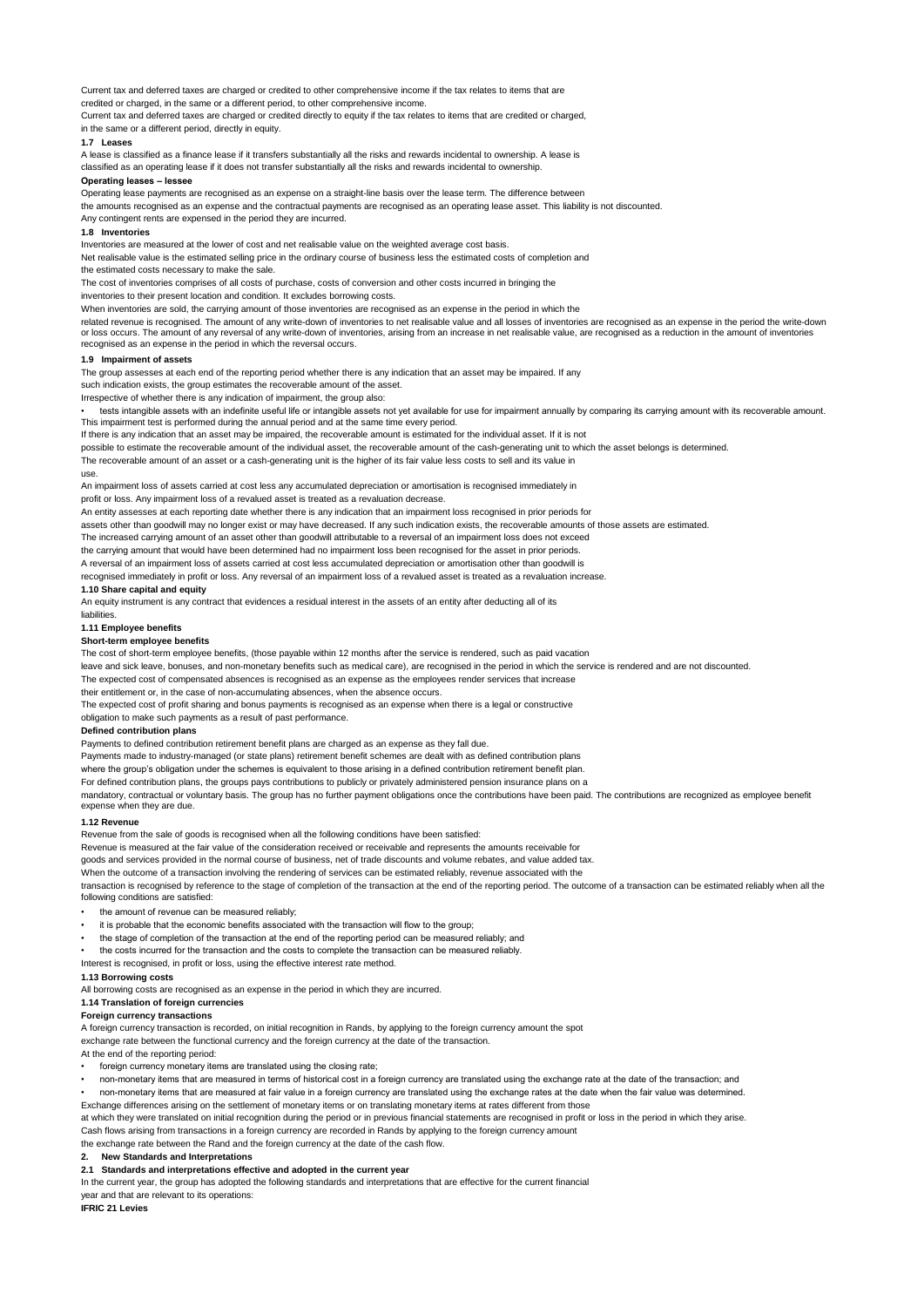Current tax and deferred taxes are charged or credited to other comprehensive income if the tax relates to items that are credited or charged, in the same or a different period, to other comprehensive income.

Current tax and deferred taxes are charged or credited directly to equity if the tax relates to items that are credited or charged,

in the same or a different period, directly in equity.

### **1.7 Leases**

A lease is classified as a finance lease if it transfers substantially all the risks and rewards incidental to ownership. A lease is

classified as an operating lease if it does not transfer substantially all the risks and rewards incidental to ownership. **Operating leases – lessee**

Operating lease payments are recognised as an expense on a straight-line basis over the lease term. The difference between the amounts recognised as an expense and the contractual payments are recognised as an operating lease asset. This liability is not discounted.

Any contingent rents are expensed in the period they are incurred.

#### **1.8 Inventories**

Inventories are measured at the lower of cost and net realisable value on the weighted average cost basis.

Net realisable value is the estimated selling price in the ordinary course of business less the estimated costs of completion and

#### the estimated costs necessary to make the sale.

The cost of inventories comprises of all costs of purchase, costs of conversion and other costs incurred in bringing the

inventories to their present location and condition. It excludes borrowing costs.

When inventories are sold, the carrying amount of those inventories are recognised as an expense in the period in which the

related revenue is recognised. The amount of any write-down of inventories to net realisable value and all losses of inventories are recognised as an expense in the period the write-down or loss occurs. The amount of any reversal of any write-down of inventories, arising from an increase in net realisable value, are recognised as a reduction in the amount of inventories<br>recognised as an expense in the peri

#### **1.9 Impairment of assets**

The group assesses at each end of the reporting period whether there is any indication that an asset may be impaired. If any

such indication exists, the group estimates the recoverable amount of the asset.

Irrespective of whether there is any indication of impairment, the group also:

• tests intangible assets with an indefinite useful life or intangible assets not yet available for use for impairment annually by comparing its carrying amount with its recoverable amount. This impairment test is performed during the annual period and at the same time every period.

If there is any indication that an asset may be impaired, the recoverable amount is estimated for the individual asset. If it is not

possible to estimate the recoverable amount of the individual asset, the recoverable amount of the cash-generating unit to which the asset belongs is determined.

The recoverable amount of an asset or a cash-generating unit is the higher of its fair value less costs to sell and its value in

### use.

An impairment loss of assets carried at cost less any accumulated depreciation or amortisation is recognised immediately in

profit or loss. Any impairment loss of a revalued asset is treated as a revaluation decrease.

An entity assesses at each reporting date whether there is any indication that an impairment loss recognised in prior periods for

assets other than goodwill may no longer exist or may have decreased. If any such indication exists, the recoverable amounts of those assets are estimated

The increased carrying amount of an asset other than goodwill attributable to a reversal of an impairment loss does not exceed

the carrying amount that would have been determined had no impairment loss been recognised for the asset in prior periods.

A reversal of an impairment loss of assets carried at cost less accumulated depreciation or amortisation other than goodwill is

recognised immediately in profit or loss. Any reversal of an impairment loss of a revalued asset is treated as a revaluation increase.

#### **1.10 Share capital and equity**

An equity instrument is any contract that evidences a residual interest in the assets of an entity after deducting all of its

liabilities.

# **1.11 Employee benefits**

**Short-term employee benefits**

The cost of short-term employee benefits, (those payable within 12 months after the service is rendered, such as paid vacation

leave and sick leave, bonuses, and non-monetary benefits such as medical care), are recognised in the period in which the service is rendered and are not discounted. The expected cost of compensated absences is recognised as an expense as the employees render services that increase

their entitlement or, in the case of non-accumulating absences, when the absence occurs.

The expected cost of profit sharing and bonus payments is recognised as an expense when there is a legal or constructive

obligation to make such payments as a result of past performance.

#### **Defined contribution plans**

Payments to defined contribution retirement benefit plans are charged as an expense as they fall due.

Payments made to industry-managed (or state plans) retirement benefit schemes are dealt with as defined contribution plans

where the group's obligation under the schemes is equivalent to those arising in a defined contribution retirement benefit plan.

For defined contribution plans, the groups pays contributions to publicly or privately administered pension insurance plans on a

mandatory, contractual or voluntary basis. The group has no further payment obligations once the contributions have been paid. The contributions are recognized as employee benefit<br>expense when they are due.

### **1.12 Revenue**

Revenue from the sale of goods is recognised when all the following conditions have been satisfied:

Revenue is measured at the fair value of the consideration received or receivable and represents the amounts receivable for

goods and services provided in the normal course of business, net of trade discounts and volume rebates, and value added tax.

When the outcome of a transaction involving the rendering of services can be estimated reliably, revenue associated with the

transaction is recognised by reference to the stage of completion of the transaction at the end of the reporting period. The outcome of a transaction can be estimated reliably when all the following conditions are satisfied:

- the amount of revenue can be measured reliably;
- it is probable that the economic benefits associated with the transaction will flow to the group;
- the stage of completion of the transaction at the end of the reporting period can be measured reliably; and
- the costs incurred for the transaction and the costs to complete the transaction can be measured reliably.

### Interest is recognised, in profit or loss, using the effective interest rate method.

### **1.13 Borrowing costs**

All borrowing costs are recognised as an expense in the period in which they are incurred.

### **1.14 Translation of foreign currencies**

### **Foreign currency transactions**

A foreign currency transaction is recorded, on initial recognition in Rands, by applying to the foreign currency amount the spot

exchange rate between the functional currency and the foreign currency at the date of the transaction.

At the end of the reporting period:

- foreign currency monetary items are translated using the closing rate;
- non-monetary items that are measured in terms of historical cost in a foreign currency are translated using the exchange rate at the date of the transaction; and

• non-monetary items that are measured at fair value in a foreign currency are translated using the exchange rates at the date when the fair value was determined. Exchange differences arising on the settlement of monetary items or on translating monetary items at rates different from those

at which they were translated on initial recognition during the period or in previous financial statements are recognised in profit or loss in the period in which they arise. Cash flows arising from transactions in a foreign currency are recorded in Rands by applying to the foreign currency amount

the exchange rate between the Rand and the foreign currency at the date of the cash flow.

### **2. New Standards and Interpretations**

### **2.1 Standards and interpretations effective and adopted in the current year**

In the current year, the group has adopted the following standards and interpretations that are effective for the current financial year and that are relevant to its operations:

**IFRIC 21 Levies**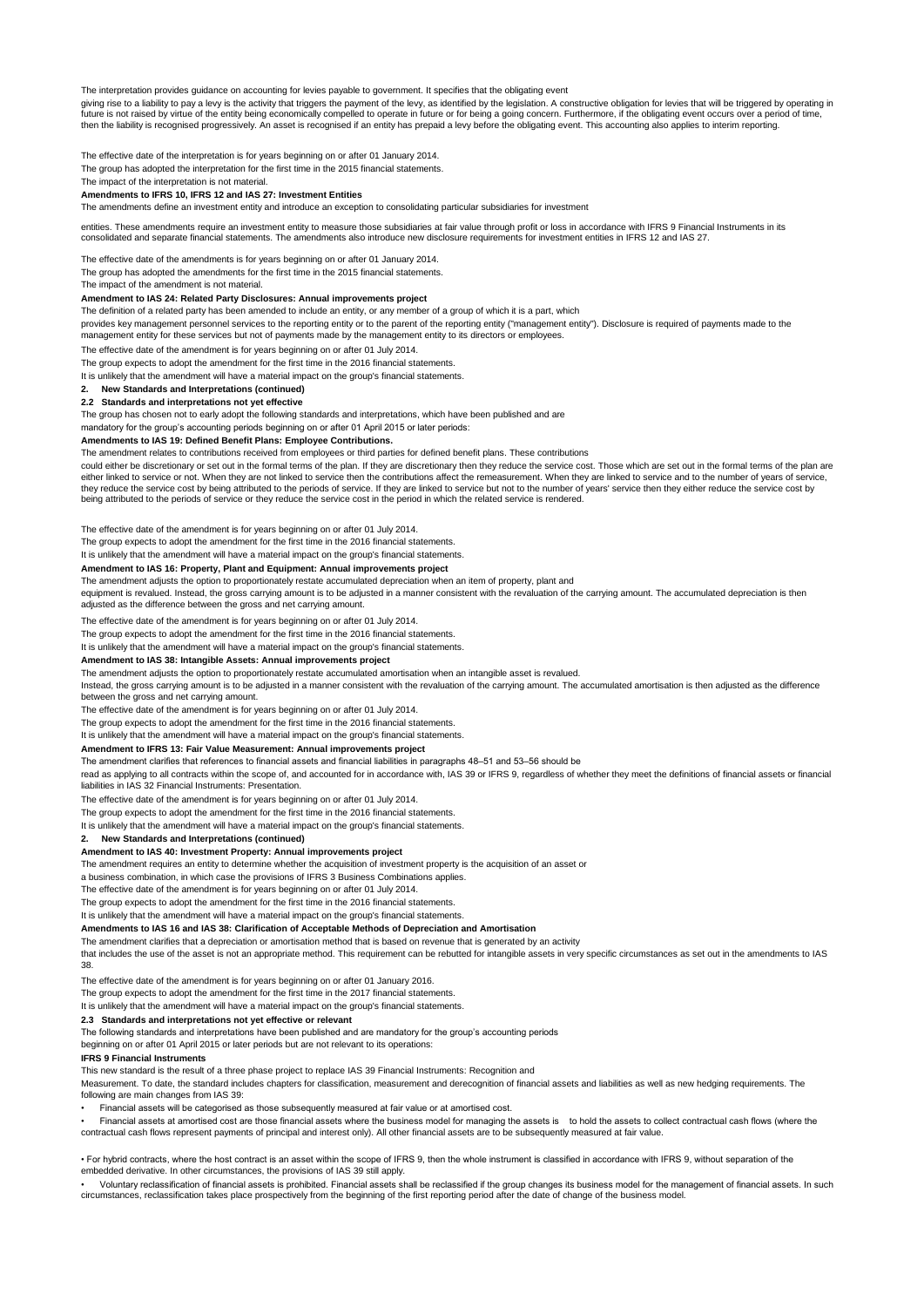The interpretation provides guidance on accounting for levies payable to government. It specifies that the obligating event

giving rise to a liability to pay a levy is the activity that triggers the payment of the levy, as identified by the legislation. A constructive obligation for levies that will be triggered by operating in future is not raised by virtue of the entity being economically compelled to operate in future or for being a going concern. Furthermore, if the obligating event occurs over a period of time, if the obligating event occurs then the liability is recognised progressively. An asset is recognised if an entity has prepaid a levy before the obligating event. This accounting also applies to interim reporting.

The effective date of the interpretation is for years beginning on or after 01 January 2014.

The group has adopted the interpretation for the first time in the 2015 financial statements.

The impact of the interpretation is not material.

### **Amendments to IFRS 10, IFRS 12 and IAS 27: Investment Entities**

The amendments define an investment entity and introduce an exception to consolidating particular subsidiaries for investment

entities. These amendments require an investment entity to measure those subsidiaries at fair value through profit or loss in accordance with IFRS 9 Financial Instruments in its consolidated and separate financial statements. The amendments also introduce new disclosure requirements for investment entities in IFRS 12 and IAS 27.

The effective date of the amendments is for years beginning on or after 01 January 2014.

The group has adopted the amendments for the first time in the 2015 financial statements.

The impact of the amendment is not material.

#### **Amendment to IAS 24: Related Party Disclosures: Annual improvements project**

The definition of a related party has been amended to include an entity, or any member of a group of which it is a part, which

provides key management personnel services to the reporting entity or to the parent of the reporting entity ("management entity"). Disclosure is required of payments made to the management entity for these services but not of payments made by the management entity to its directors or employees.

The effective date of the amendment is for years beginning on or after 01 July 2014.

The group expects to adopt the amendment for the first time in the 2016 financial statements.

It is unlikely that the amendment will have a material impact on the group's financial statements.

### **2. New Standards and Interpretations (continued)**

**2.2 Standards and interpretations not yet effective**

The group has chosen not to early adopt the following standards and interpretations, which have been published and are

mandatory for the group's accounting periods beginning on or after 01 April 2015 or later periods:

#### **Amendments to IAS 19: Defined Benefit Plans: Employee Contributions.**

The amendment relates to contributions received from employees or third parties for defined benefit plans. These contributions

could either be discretionary or set out in the formal terms of the plan. If they are discretionary then they reduce the service cost. Those which are set out in the formal terms of the plan are either linked to service or not. When they are not linked to service then the contributions affect the remeasurement. When they are linked to service and to the number of years of service, they reduce the service cost by being attributed to the periods of service. If they are linked to service but not to the number of years' service then they either reduce the service cost by the service cost by the reduce t being attributed to the periods of service or they reduce the service cost in the period in which the related service is rendered.

The effective date of the amendment is for years beginning on or after 01 July 2014.

The group expects to adopt the amendment for the first time in the 2016 financial statements.

It is unlikely that the amendment will have a material impact on the group's financial statements.

### **Amendment to IAS 16: Property, Plant and Equipment: Annual improvements project**

The amendment adjusts the option to proportionately restate accumulated depreciation when an item of property, plant and

equipment is revalued. Instead, the gross carrying amount is to be adjusted in a manner consistent with the revaluation of the carrying amount. The accumulated depreciation is then

adjusted as the difference between the gross and net carrying amount.

The effective date of the amendment is for years beginning on or after 01 July 2014.

The group expects to adopt the amendment for the first time in the 2016 financial statements.

It is unlikely that the amendment will have a material impact on the group's financial statements.

#### **Amendment to IAS 38: Intangible Assets: Annual improvements project**

The amendment adjusts the option to proportionately restate accumulated amortisation when an intangible asset is revalued.

Instead, the gross carrying amount is to be adjusted in a manner consistent with the revaluation of the carrying amount. The accumulated amortisation is then adjusted as the difference between the gross and net carrying amount.

The effective date of the amendment is for years beginning on or after 01 July 2014.

The group expects to adopt the amendment for the first time in the 2016 financial statements.

It is unlikely that the amendment will have a material impact on the group's financial statements.

### **Amendment to IFRS 13: Fair Value Measurement: Annual improvements project**

The amendment clarifies that references to financial assets and financial liabilities in paragraphs 48–51 and 53–56 should be

read as applying to all contracts within the scope of, and accounted for in accordance with, IAS 39 or IFRS 9, regardless of whether they meet the definitions of financial assets or financial liabilities in IAS 32 Financial Instruments: Presentation.

The effective date of the amendment is for years beginning on or after 01 July 2014.

#### The group expects to adopt the amendment for the first time in the 2016 financial statements.

It is unlikely that the amendment will have a material impact on the group's financial statements.

#### **2. New Standards and Interpretations (continued)**

#### **Amendment to IAS 40: Investment Property: Annual improvements project**

The amendment requires an entity to determine whether the acquisition of investment property is the acquisition of an asset or

a business combination, in which case the provisions of IFRS 3 Business Combinations applies. The effective date of the amendment is for years beginning on or after 01 July 2014.

The group expects to adopt the amendment for the first time in the 2016 financial statements.

#### It is unlikely that the amendment will have a material impact on the group's financial statements. **Amendments to IAS 16 and IAS 38: Clarification of Acceptable Methods of Depreciation and Amortisation**

# The amendment clarifies that a depreciation or amortisation method that is based on revenue that is generated by an activity

that includes the use of the asset is not an appropriate method. This requirement can be rebutted for intangible assets in very specific circumstances as set out in the amendments to IAS 38.

The effective date of the amendment is for years beginning on or after 01 January 2016.

The group expects to adopt the amendment for the first time in the 2017 financial statements.

It is unlikely that the amendment will have a material impact on the group's financial statements.

### **2.3 Standards and interpretations not yet effective or relevant**

The following standards and interpretations have been published and are mandatory for the group's accounting periods

beginning on or after 01 April 2015 or later periods but are not relevant to its operations:

### **IFRS 9 Financial Instruments**

This new standard is the result of a three phase project to replace IAS 39 Financial Instruments: Recognition and

Measurement. To date, the standard includes chapters for classification, measurement and derecognition of financial assets and liabilities as well as new hedging requirements. The following are main changes from IAS 39:

• Financial assets will be categorised as those subsequently measured at fair value or at amortised cost.

Financial assets at amortised cost are those financial assets where the business model for managing the assets is to hold the assets to collect contractual cash flows (where the contractual cash flows represent payments of principal and interest only). All other financial assets are to be subsequently measured at fair value.

#### • For hybrid contracts, where the host contract is an asset within the scope of IFRS 9, then the whole instrument is classified in accordance with IFRS 9, without separation of the embedded derivative. In other circumstances, the provisions of IAS 39 still apply.

• Voluntary reclassification of financial assets is prohibited. Financial assets shall be reclassified if the group changes its business model for the management of financial assets. In such circumstances, reclassification takes place prospectively from the beginning of the first reporting period after the date of change of the business model.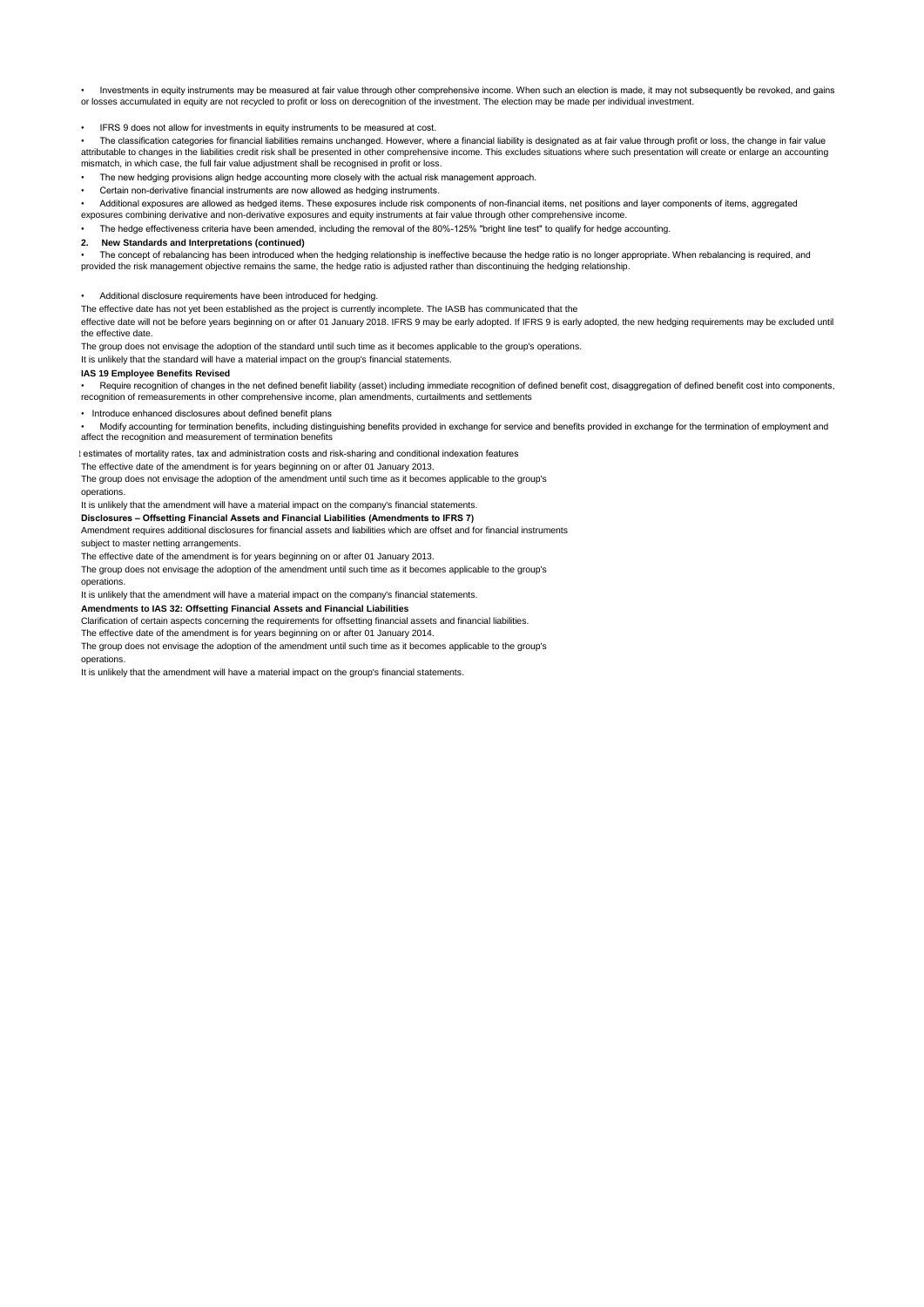Investments in equity instruments may be measured at fair value through other comprehensive income. When such an election is made, it may not subsequently be revoked, and gains or losses accumulated in equity are not recycled to profit or loss on derecognition of the investment. The election may be made per individual investment.

• IFRS 9 does not allow for investments in equity instruments to be measured at cost.

The classification categories for financial liabilities remains unchanged. However, where a financial liability is designated as at fair value through profit or loss, the change in fair value attributable to changes in the liabilities credit risk shall be presented in other comprehensive income. This excludes situations where such presentation will create or enlarge an accounting mismatch, in which case, the full fair value adjustment shall be recognised in profit or loss.

The new hedging provisions align hedge accounting more closely with the actual risk management approach.

• Certain non-derivative financial instruments are now allowed as hedging instruments.

• Additional exposures are allowed as hedged items. These exposures include risk components of non-financial items, net positions and layer components of items, aggregated<br>exposures combining derivative and non-derivat

• The hedge effectiveness criteria have been amended, including the removal of the 80%-125% "bright line test" to qualify for hedge accounting.

**2. New Standards and Interpretations (continued)**

• The concept of rebalancing has been introduced when the hedging relationship is ineffective because the hedge ratio is no longer appropriate. When rebalancing is required, and<br>provided the risk management objective remai

• Additional disclosure requirements have been introduced for hedging.

The effective date has not yet been established as the project is currently incomplete. The IASB has communicated that the

effective date will not be before years beginning on or after 01 January 2018. IFRS 9 may be early adopted. If IFRS 9 is early adopted, the new hedging requirements may be excluded until the effective date.

The group does not envisage the adoption of the standard until such time as it becomes applicable to the group's operations.

It is unlikely that the standard will have a material impact on the group's financial statements.

#### **IAS 19 Employee Benefits Revised**

• Require recognition of changes in the net defined benefit liability (asset) including immediate recognition of defined benefit cost, disaggregation of defined benefit cost into components, recognition of remeasurements in other comprehensive income, plan amendments, curtailments and settlements

• Introduce enhanced disclosures about defined benefit plans

Modify accounting for termination benefits, including distinguishing benefits provided in exchange for service and benefits provided in exchange for the termination of employment and affect the recognition and measurement of termination benefits

estimates of mortality rates, tax and administration costs and risk-sharing and conditional indexation features

The effective date of the amendment is for years beginning on or after 01 January 2013.

The group does not envisage the adoption of the amendment until such time as it becomes applicable to the group's operations.

It is unlikely that the amendment will have a material impact on the company's financial statements.

**Disclosures – Offsetting Financial Assets and Financial Liabilities (Amendments to IFRS 7)**

Amendment requires additional disclosures for financial assets and liabilities which are offset and for financial instruments

subject to master netting arrangements.

The effective date of the amendment is for years beginning on or after 01 January 2013.

The group does not envisage the adoption of the amendment until such time as it becomes applicable to the group's operations.

It is unlikely that the amendment will have a material impact on the company's financial statements.

**Amendments to IAS 32: Offsetting Financial Assets and Financial Liabilities**

Clarification of certain aspects concerning the requirements for offsetting financial assets and financial liabilities.

The effective date of the amendment is for years beginning on or after 01 January 2014.

The group does not envisage the adoption of the amendment until such time as it becomes applicable to the group's

operations.

It is unlikely that the amendment will have a material impact on the group's financial statements.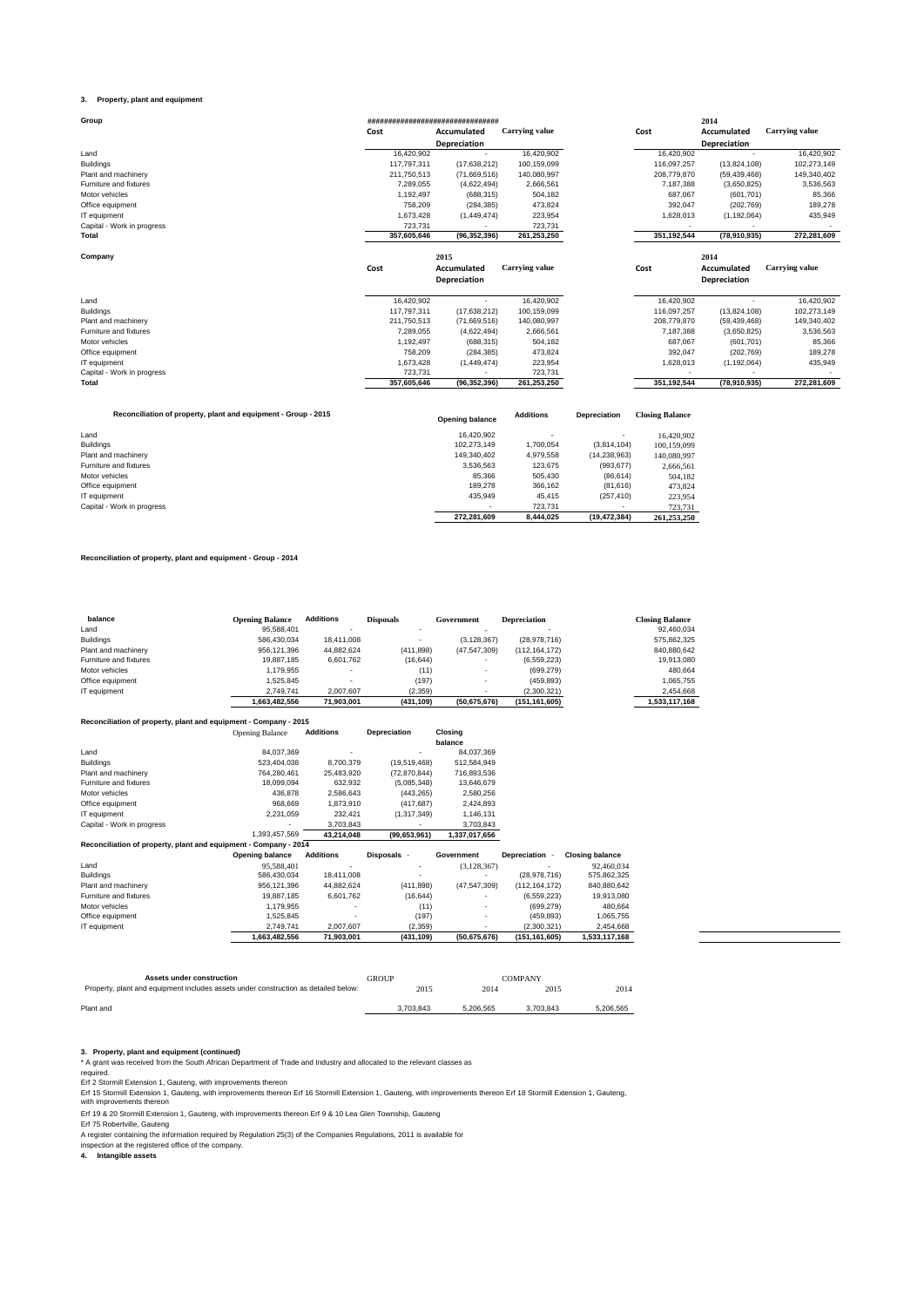### **3. Property, plant and equipment**

| Group                      |             |                |                       |             | 2014           |                       |
|----------------------------|-------------|----------------|-----------------------|-------------|----------------|-----------------------|
|                            | Cost        | Accumulated    | <b>Carrying value</b> | Cost        | Accumulated    | <b>Carrying value</b> |
|                            |             | Depreciation   |                       |             | Depreciation   |                       |
| Land                       | 16,420,902  |                | 16,420,902            | 16,420,902  |                | 16,420,902            |
| <b>Buildings</b>           | 117.797.311 | (17,638,212)   | 100.159.099           | 116.097.257 | (13,824,108)   | 102,273,149           |
| Plant and machinery        | 211,750,513 | (71,669,516)   | 140,080,997           | 208,779,870 | (59, 439, 468) | 149,340,402           |
| Furniture and fixtures     | 7,289,055   | (4,622,494)    | 2,666,561             | 7,187,388   | (3,650,825)    | 3,536,563             |
| Motor vehicles             | 1,192,497   | (688, 315)     | 504,182               | 687,067     | (601, 701)     | 85,366                |
| Office equipment           | 758,209     | (284, 385)     | 473.824               | 392,047     | (202, 769)     | 189,278               |
| IT equipment               | 1.673.428   | (1,449,474)    | 223.954               | 1,628,013   | (1, 192, 064)  | 435,949               |
| Capital - Work in progress | 723,731     |                | 723,731               | ٠           |                |                       |
| Total                      | 357,605,646 | (96, 352, 396) | 261,253,250           | 351,192,544 | (78,910,935)   | 272,281,609           |
|                            |             |                |                       |             |                |                       |
| Company                    |             | 2015           |                       |             | 2014           |                       |
|                            | Cost        | Accumulated    | <b>Carrying value</b> | Cost        | Accumulated    | <b>Carrying value</b> |
|                            |             | Depreciation   |                       |             | Depreciation   |                       |
| Land                       | 16,420,902  | ٠              | 16,420,902            | 16.420.902  |                | 16,420,902            |
| <b>Buildings</b>           | 117.797.311 | (17, 638, 212) | 100,159,099           | 116,097,257 | (13,824,108)   | 102,273,149           |
| Plant and machinery        | 211.750.513 | (71,669,516)   | 140,080,997           | 208,779,870 | (59, 439, 468) | 149.340.402           |
| Furniture and fixtures     | 7,289,055   | (4,622,494)    | 2,666,561             | 7,187,388   | (3,650,825)    | 3,536,563             |
| Motor vehicles             | 1,192,497   | (688, 315)     | 504.182               | 687,067     | (601, 701)     | 85,366                |
| Office equipment           | 758,209     | (284, 385)     | 473,824               | 392,047     | (202, 769)     | 189,278               |
| IT equipment               | 1,673,428   | (1,449,474)    | 223,954               | 1,628,013   | (1, 192, 064)  | 435,949               |
| Capital - Work in progress | 723,731     |                | 723,731               |             |                |                       |
| Total                      | 357.605.646 | (96, 352, 396) | 261,253,250           | 351,192,544 | (78,910,935)   | 272,281,609           |

| Reconciliation of property, plant and equipment - Group - 2015 | <b>Opening balance</b> | <b>Additions</b> | <b>Depreciation</b> | <b>Closing Balance</b> |
|----------------------------------------------------------------|------------------------|------------------|---------------------|------------------------|
| Land                                                           | 16.420.902             |                  |                     | 16.420.902             |
| <b>Buildings</b>                                               | 102.273.149            | 1.700.054        | (3,814,104)         | 100.159.099            |
| Plant and machinery                                            | 149.340.402            | 4.979.558        | (14, 238, 963)      | 140,080,997            |
| Furniture and fixtures                                         | 3.536.563              | 123.675          | (993, 677)          | 2.666.561              |
| Motor vehicles                                                 | 85.366                 | 505.430          | (86, 614)           | 504.182                |
| Office equipment                                               | 189,278                | 366.162          | (81,616)            | 473.824                |
| IT equipment                                                   | 435.949                | 45.415           | (257, 410)          | 223.954                |
| Capital - Work in progress                                     |                        | 723.731          |                     | 723.731                |
|                                                                | 272.281.609            | 8.444.025        | (19.472.384)        | 261.253.250            |

### **Reconciliation of property, plant and equipment - Group - 2014**

| balance                | <b>Opening Balance</b> | <b>Additions</b> | <b>Disposals</b> | <b>Government</b> | <b>Depreciation</b> | <b>Closing Balance</b> |
|------------------------|------------------------|------------------|------------------|-------------------|---------------------|------------------------|
| Land                   | 95.588.401             |                  |                  |                   | -                   | 92.460.034             |
| <b>Buildings</b>       | 586.430.034            | 18.411.008       | -                | (3, 128, 367)     | (28, 978, 716)      | 575,862,325            |
| Plant and machinery    | 956.121.396            | 44.882.624       | (411, 898)       | (47, 547, 309)    | (112.164.172)       | 840,880,642            |
| Furniture and fixtures | 19,887,185             | 6.601.762        | (16.644)         |                   | (6,559,223)         | 19.913.080             |
| Motor vehicles         | 1.179.955              | . .              | (11)             |                   | (699, 279)          | 480.664                |
| Office equipment       | 1.525.845              | . .              | (197)            |                   | (459, 893)          | 1.065.755              |
| IT equipment           | 2.749.741              | 2.007.607        | (2.359)          |                   | (2,300,321)         | 2,454,668              |
|                        | 1.663.482.556          | 71.903.001       | (431, 109)       | (50,675,676)      | (151, 161, 605)     | 1,533,117,168          |

## **Reconciliation of property, plant and equipment - Company - 2015**

| Opening Balance        | <b>Additions</b>         | Depreciation                                                                                                                         | Closing        |                 |                        |
|------------------------|--------------------------|--------------------------------------------------------------------------------------------------------------------------------------|----------------|-----------------|------------------------|
|                        |                          |                                                                                                                                      | balance        |                 |                        |
| 84,037,369             |                          |                                                                                                                                      | 84,037,369     |                 |                        |
| 523,404,038            | 8,700,379                | (19,519,468)                                                                                                                         | 512,584,949    |                 |                        |
| 764,280,461            | 25,483,920               | (72, 870, 844)                                                                                                                       | 716,893,536    |                 |                        |
| 18,099,094             | 632,932                  | (5,085,348)                                                                                                                          | 13,646,679     |                 |                        |
| 436,878                | 2,586,643                | (443, 265)                                                                                                                           | 2,580,256      |                 |                        |
| 968,669                | 1,873,910                | (417, 687)                                                                                                                           | 2,424,893      |                 |                        |
| 2,231,059              | 232,421                  | (1,317,349)                                                                                                                          | 1,146,131      |                 |                        |
|                        | 3,703,843                |                                                                                                                                      | 3,703,843      |                 |                        |
| 1,393,457,569          | 43,214,048               | (99,653,961)                                                                                                                         | 1,337,017,656  |                 |                        |
|                        |                          |                                                                                                                                      |                |                 |                        |
| <b>Opening balance</b> | <b>Additions</b>         | Disposals -                                                                                                                          | Government     | Depreciation -  | <b>Closing balance</b> |
| 95,588,401             | $\overline{\phantom{a}}$ |                                                                                                                                      | (3,128,367)    |                 | 92,460,034             |
| 586,430,034            | 18,411,008               |                                                                                                                                      |                | (28, 978, 716)  | 575,862,325            |
| 956,121,396            | 44,882,624               | (411, 898)                                                                                                                           | (47, 547, 309) | (112, 164, 172) | 840,880,642            |
| 19,887,185             | 6,601,762                | (16, 644)                                                                                                                            |                | (6,559,223)     | 19,913,080             |
| 1,179,955              |                          | (11)                                                                                                                                 | ۰              | (699, 279)      | 480,664                |
| 1,525,845              |                          | (197)                                                                                                                                | ۰              | (459, 893)      | 1,065,755              |
| 2,749,741              | 2,007,607                | (2,359)                                                                                                                              |                | (2,300,321)     | 2,454,668              |
| 1,663,482,556          | 71,903,001               |                                                                                                                                      | (50, 675, 676) | (151, 161, 605) | 1,533,117,168          |
|                        |                          | Reconciliation of property, plant and equipment - Company - 2015<br>Reconciliation of property, plant and equipment - Company - 2014 |                | (431,109)       |                        |

| <b>Assets under construction</b>                                                    | GROUP     |           | COMPANY   |           |
|-------------------------------------------------------------------------------------|-----------|-----------|-----------|-----------|
| Property, plant and equipment includes assets under construction as detailed below: | 2015      | 2014      | 2015      | 2014      |
| Plant and                                                                           | 3.703.843 | 5.206.565 | 3.703.843 | 5.206.565 |

3. Property, plant and equipment (continued)<br>\* A grant was received from the South African Department of Trade and Industry and allocated to the relevant classes as<br>Ert 2 Stormill Extension 1, Gauteng, with improvements th

Erf 19 & 20 Stormili Extension 1, Gauteng, with improvements thereon Erf 9 & 10 Lea Glen Township, Gauteng<br>Erf 75 Robertville, Gauteng<br>A register containing the information required by Regulation 25(3) of the Companies Reg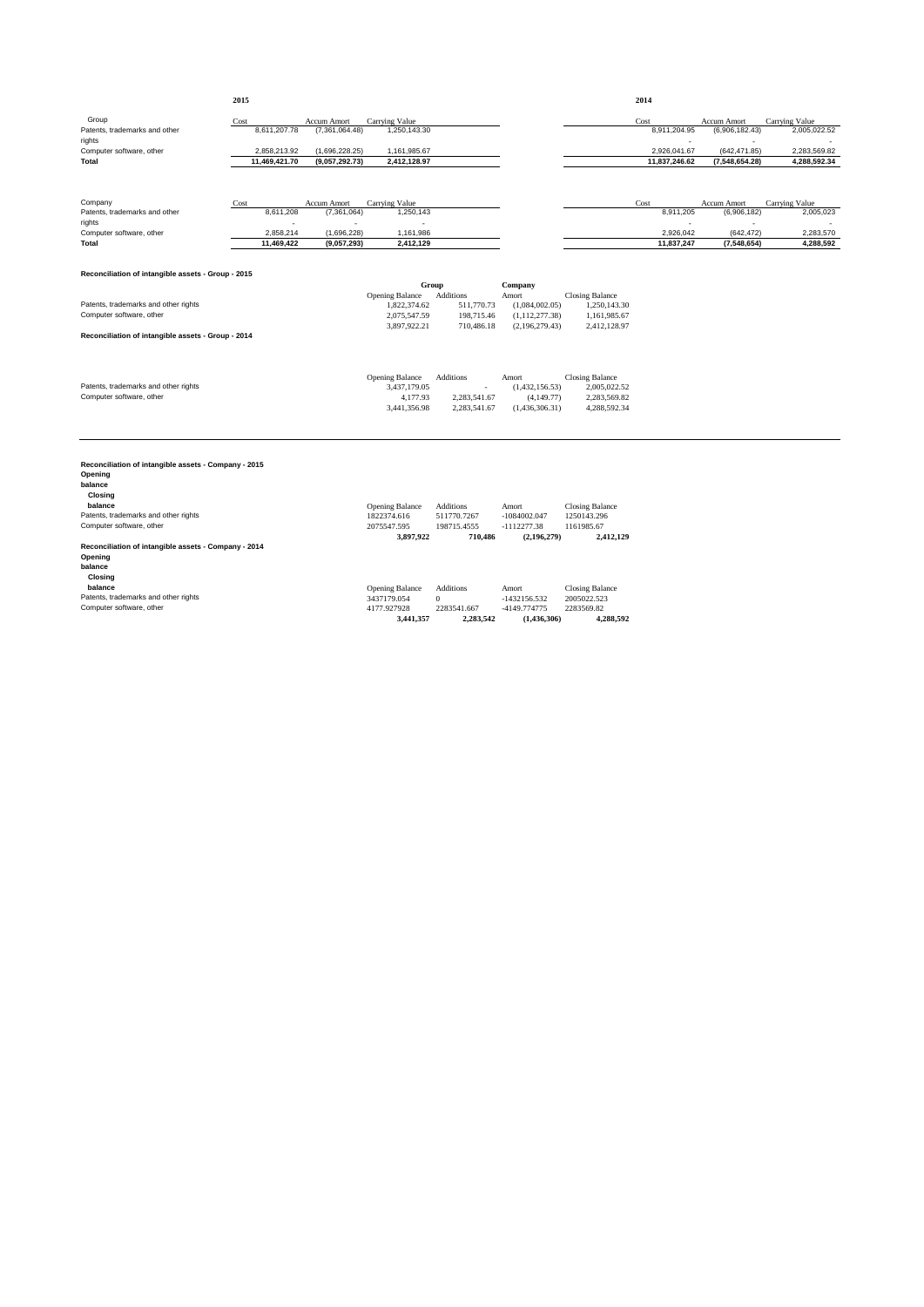|                                                                 | 2015              |                |                                 |                     |                         |                                        | 2014               |                    |                |
|-----------------------------------------------------------------|-------------------|----------------|---------------------------------|---------------------|-------------------------|----------------------------------------|--------------------|--------------------|----------------|
| Group                                                           | Cost              | Accum Amort    | Carrying Value                  |                     |                         |                                        | Cost               | <b>Accum Amort</b> | Carrying Value |
| Patents, trademarks and other                                   | 8,611,207.78      | (7,361,064.48) | 1,250,143.30                    |                     |                         |                                        | 8,911,204.95       | (6,906,182.43)     | 2,005,022.52   |
| rights<br>Computer software, other                              | 2,858,213.92      | (1,696,228.25) | 1,161,985.67                    |                     |                         |                                        | ×,<br>2,926,041.67 | (642, 471.85)      | 2,283,569.82   |
| Total                                                           | 11,469,421.70     | (9,057,292.73) | 2,412,128.97                    |                     |                         |                                        | 11,837,246.62      | (7,548,654.28)     | 4,288,592.34   |
|                                                                 |                   |                |                                 |                     |                         |                                        |                    |                    |                |
| Company                                                         | Cost<br>8,611,208 | Accum Amort    | Carrying Value                  |                     |                         |                                        | Cost               | <b>Accum Amort</b> | Carrying Value |
| Patents, trademarks and other<br>rights                         |                   | (7, 361, 064)  | 1,250,143                       |                     |                         |                                        | 8,911,205          | (6,906,182)        | 2,005,023      |
| Computer software, other                                        | 2,858,214         | (1,696,228)    | 1,161,986                       |                     |                         |                                        | 2,926,042          | (642, 472)         | 2,283,570      |
| Total                                                           | 11,469,422        | (9,057,293)    | 2,412,129                       |                     |                         |                                        | 11,837,247         | (7, 548, 654)      | 4,288,592      |
| Reconciliation of intangible assets - Group - 2015              |                   |                | Opening Balance                 | Group<br>Additions  | Company<br>Amort        | <b>Closing Balance</b>                 |                    |                    |                |
| Patents, trademarks and other rights                            |                   |                | 1,822,374.62                    | 511,770.73          | (1,084,002.05)          | 1,250,143.30                           |                    |                    |                |
| Computer software, other                                        |                   |                | 2,075,547.59                    | 198,715.46          | (1,112,277.38)          | 1,161,985.67                           |                    |                    |                |
| Reconciliation of intangible assets - Group - 2014              |                   |                | 3,897,922.21                    | 710,486.18          | (2,196,279.43)          | 2,412,128.97                           |                    |                    |                |
|                                                                 |                   |                |                                 |                     |                         |                                        |                    |                    |                |
| Patents, trademarks and other rights                            |                   |                | Opening Balance<br>3,437,179.05 | Additions<br>$\sim$ | Amort<br>(1,432,156.53) | <b>Closing Balance</b><br>2,005,022.52 |                    |                    |                |
| Computer software, other                                        |                   |                | 4,177.93                        | 2,283,541.67        | (4,149.77)              | 2,283,569.82                           |                    |                    |                |
|                                                                 |                   |                | 3,441,356.98                    | 2,283,541.67        | (1,436,306.31)          | 4,288,592.34                           |                    |                    |                |
| Reconciliation of intangible assets - Company - 2015<br>Opening |                   |                |                                 |                     |                         |                                        |                    |                    |                |
| balance<br><b>Closing</b><br>balance                            |                   |                | <b>Opening Balance</b>          | Additions           | Amort                   | <b>Closing Balance</b>                 |                    |                    |                |
| Patents, trademarks and other rights                            |                   |                | 1822374.616                     | 511770.7267         | $-1084002.047$          | 1250143.296                            |                    |                    |                |
| Computer software, other                                        |                   |                | 2075547.595                     | 198715.4555         | $-1112277.38$           | 1161985.67                             |                    |                    |                |
| Reconciliation of intangible assets - Company - 2014            |                   |                | 3,897,922                       | 710,486             | (2,196,279)             | 2,412,129                              |                    |                    |                |
| Opening<br>balance<br>Closing                                   |                   |                |                                 |                     |                         |                                        |                    |                    |                |
| balance                                                         |                   |                | <b>Opening Balance</b>          | Additions           | Amort                   | <b>Closing Balance</b>                 |                    |                    |                |
| Patents, trademarks and other rights                            |                   |                | 3437179.054                     | $\mathbf{0}$        | $-1432156.532$          | 2005022.523                            |                    |                    |                |
| Computer software, other                                        |                   |                | 4177.927928                     | 2283541.667         | -4149.774775            | 2283569.82                             |                    |                    |                |
|                                                                 |                   |                | 3.441.357                       | 2,283,542           | (1,436,306)             | 4,288,592                              |                    |                    |                |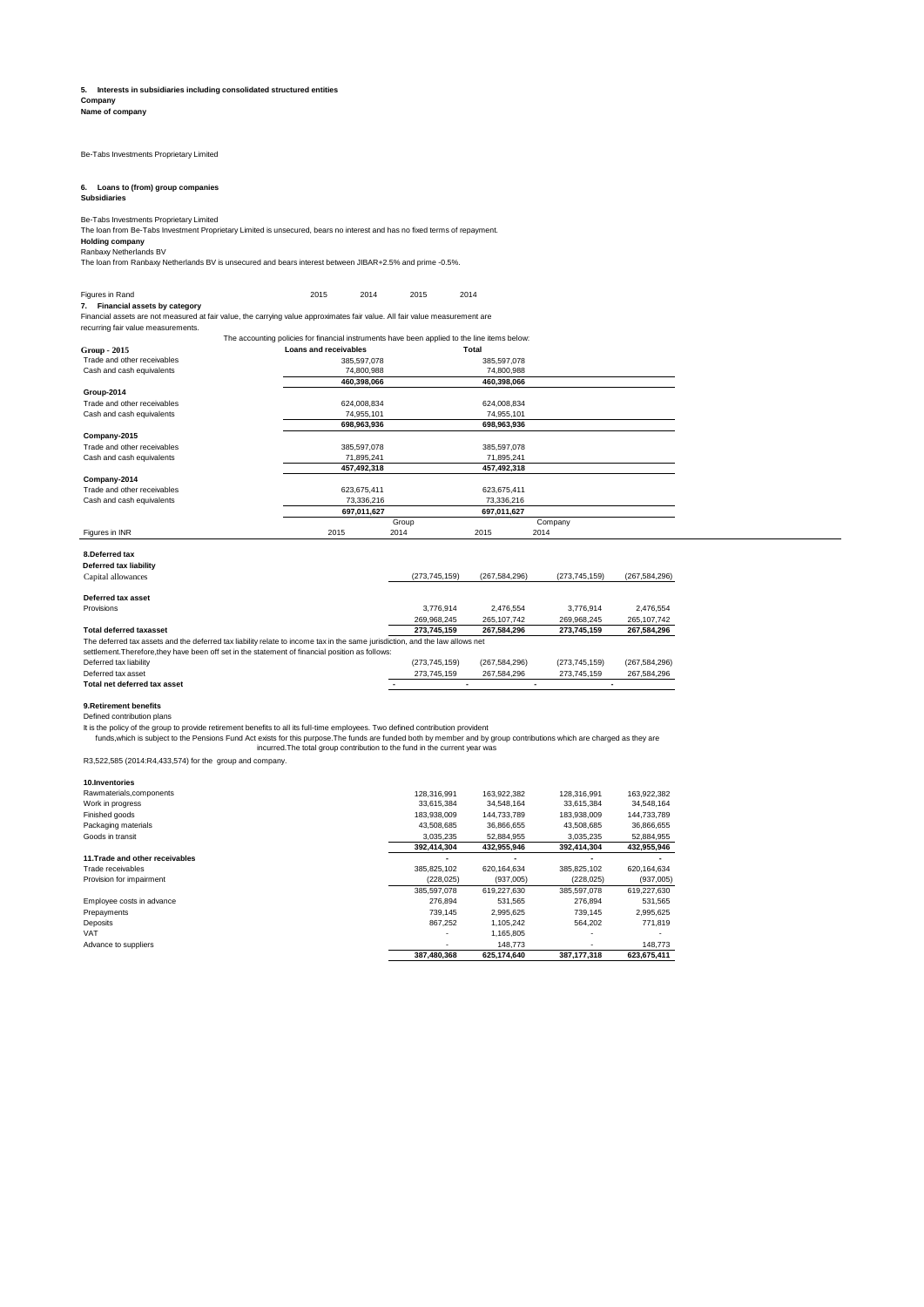# **5. Interests in subsidiaries including consolidated structured entities**

# **Company Name of company**

Be-Tabs Investments Proprietary Limited

#### **6. Loans to (from) group companies Subsidiaries**

### Be-Tabs Investments Proprietary Limited

The loan from Be-Tabs Investment Proprietary Limited is unsecured, bears no interest and has no fixed terms of repayment.

**Holding company**<br>Ranbaxy Netherlands BV<br>The loan from Ranbaxy Netherlands BV is unsecured and bears interest between JIBAR+2.5% and prime -0.5%.

Figures in Rand<br>7. Financial assets by category<br>Financial assets are not measured at fair value, the carrying value approximates fair value. All fair value measurement are<br>Financial assets are not measurements.<br>recurring f

The accounting policies for financial instruments have been applied to the line items below:

| Group - 2015                | <b>Loans and receivables</b> |       | Total       |         |  |
|-----------------------------|------------------------------|-------|-------------|---------|--|
| Trade and other receivables | 385,597,078                  |       | 385,597,078 |         |  |
| Cash and cash equivalents   | 74,800,988                   |       | 74,800,988  |         |  |
|                             | 460,398,066                  |       | 460,398,066 |         |  |
| Group-2014                  |                              |       |             |         |  |
| Trade and other receivables | 624,008,834                  |       | 624,008,834 |         |  |
| Cash and cash equivalents   | 74,955,101                   |       | 74,955,101  |         |  |
|                             | 698,963,936                  |       | 698,963,936 |         |  |
| Company-2015                |                              |       |             |         |  |
| Trade and other receivables | 385,597,078                  |       | 385,597,078 |         |  |
| Cash and cash equivalents   | 71,895,241                   |       | 71,895,241  |         |  |
|                             | 457,492,318                  |       | 457,492,318 |         |  |
| Company-2014                |                              |       |             |         |  |
| Trade and other receivables | 623,675,411                  |       | 623,675,411 |         |  |
| Cash and cash equivalents   | 73,336,216                   |       | 73,336,216  |         |  |
|                             | 697,011,627                  |       | 697,011,627 |         |  |
|                             |                              | Group |             | Company |  |
| Figures in INR              | 2015                         | 2014  | 2015        | 2014    |  |

### **8.Deferred tax**

| Deferred tax liability                                                                                                       |                 |                 |                 |                 |
|------------------------------------------------------------------------------------------------------------------------------|-----------------|-----------------|-----------------|-----------------|
| Capital allowances                                                                                                           | (273, 745, 159) | (267, 584, 296) | (273, 745, 159) | (267, 584, 296) |
|                                                                                                                              |                 |                 |                 |                 |
| Deferred tax asset                                                                                                           |                 |                 |                 |                 |
| Provisions                                                                                                                   | 3.776.914       | 2.476.554       | 3.776.914       | 2.476.554       |
|                                                                                                                              | 269.968.245     | 265.107.742     | 269.968.245     | 265.107.742     |
| <b>Total deferred taxasset</b>                                                                                               | 273.745.159     | 267.584.296     | 273.745.159     | 267.584.296     |
| The deferred tax assets and the deferred tax liability relate to income tax in the same jurisdiction, and the law allows net |                 |                 |                 |                 |
| settlement. Therefore, they have been off set in the statement of financial position as follows:                             |                 |                 |                 |                 |
| Deferred tax liability                                                                                                       | (273, 745, 159) | (267, 584, 296) | (273, 745, 159) | (267, 584, 296) |
| Deferred tax asset                                                                                                           | 273.745.159     | 267.584.296     | 273.745.159     | 267,584,296     |
| Total net deferred tax asset                                                                                                 |                 |                 | ۰               |                 |

### **9.Retirement benefits**

Defined contribution plans

tt is the policy of the group to provide retirement benefits to all its full-time employees. Two defined contribution provident<br>funds,which is subject to the Pensions Fund Act exists for this purpose.The funds are funded

R3,522,585 (2014:R4,433,574) for the group and company.

|                                 | 387.480.368 | 625.174.640 | 387.177.318 | 623,675,411   |
|---------------------------------|-------------|-------------|-------------|---------------|
| Advance to suppliers            |             | 148,773     |             | 148,773       |
| <b>VAT</b>                      |             | 1.165.805   |             |               |
| Deposits                        | 867.252     | 1.105.242   | 564.202     | 771,819       |
| Prepayments                     | 739.145     | 2.995.625   | 739.145     | 2,995,625     |
| Employee costs in advance       | 276.894     | 531.565     | 276.894     | 531,565       |
|                                 | 385.597.078 | 619.227.630 | 385,597,078 | 619,227,630   |
| Provision for impairment        | (228, 025)  | (937,005)   | (228, 025)  | (937,005)     |
| Trade receivables               | 385.825.102 | 620.164.634 | 385,825,102 | 620, 164, 634 |
| 11. Trade and other receivables |             |             |             |               |
|                                 | 392,414,304 | 432.955.946 | 392.414.304 | 432.955.946   |
| Goods in transit                | 3.035.235   | 52.884.955  | 3.035.235   | 52,884,955    |
| Packaging materials             | 43.508.685  | 36,866,655  | 43,508,685  | 36,866,655    |
| Finished goods                  | 183,938,009 | 144.733.789 | 183,938,009 | 144,733,789   |
| Work in progress                | 33.615.384  | 34.548.164  | 33.615.384  | 34,548,164    |
| Rawmaterials,components         | 128.316.991 | 163.922.382 | 128.316.991 | 163,922,382   |
| 10.Inventories                  |             |             |             |               |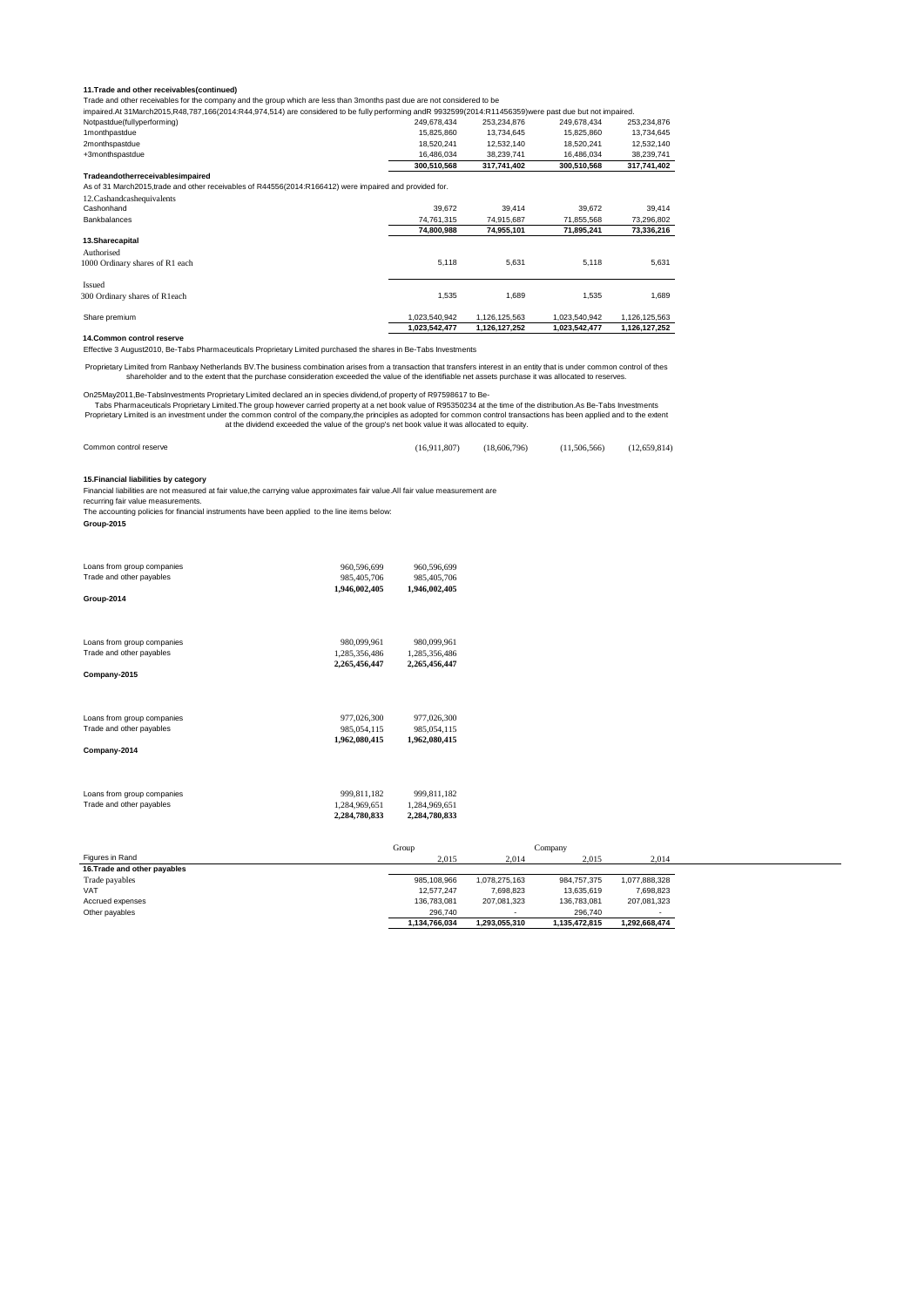**11.Trade and other receivables(continued)**<br>Trade and other receivables for the company and the group which are less than 3months past due are not considered to be<br>impaired.At 31March2015,R48,787,166(2014:R44,974,514) are

| THDalled.At 3 IMarch2013.N46.767.100(2014.N44.974.314) are considered to be funy denoming andN 9932399(2014.NTT430339)Were dast due during impaired. |             |             |             |             |
|------------------------------------------------------------------------------------------------------------------------------------------------------|-------------|-------------|-------------|-------------|
| Notpastdue(fullyperforming)                                                                                                                          | 249.678.434 | 253.234.876 | 249.678.434 | 253.234.876 |
| 1monthpastdue                                                                                                                                        | 15.825.860  | 13.734.645  | 15.825.860  | 13.734.645  |
| 2monthspastdue                                                                                                                                       | 18.520.241  | 12.532.140  | 18.520.241  | 12.532.140  |

| +3monthspastdue                                                                                          | 16.486.034  | 38.239.741  | 16.486.034  | 38.239.741                                                                                                                                                                                                                                                                                                                                                                                                                                                                      |
|----------------------------------------------------------------------------------------------------------|-------------|-------------|-------------|---------------------------------------------------------------------------------------------------------------------------------------------------------------------------------------------------------------------------------------------------------------------------------------------------------------------------------------------------------------------------------------------------------------------------------------------------------------------------------|
|                                                                                                          | 300.510.568 | 317.741.402 | 300.510.568 | 317.741.402                                                                                                                                                                                                                                                                                                                                                                                                                                                                     |
| Tradeandotherreceivablesimpaired                                                                         |             |             |             |                                                                                                                                                                                                                                                                                                                                                                                                                                                                                 |
| As of 31 March2015, trade and other receivables of R44556(2014: R166412) were impaired and provided for. |             |             |             |                                                                                                                                                                                                                                                                                                                                                                                                                                                                                 |
| 12. Cashandcashequivalents                                                                               |             |             |             |                                                                                                                                                                                                                                                                                                                                                                                                                                                                                 |
| Cashonhand                                                                                               | 39.672      | 39.414      | 39.672      | 39.414                                                                                                                                                                                                                                                                                                                                                                                                                                                                          |
| Bankbalances                                                                                             | 74.761.315  | 74.915.687  | 71.855.568  | 73.296.802                                                                                                                                                                                                                                                                                                                                                                                                                                                                      |
|                                                                                                          | 7.00000     | 7.077.04    | $-1000001$  | $\overline{\phantom{a}}$ $\overline{\phantom{a}}$ $\overline{\phantom{a}}$ $\overline{\phantom{a}}$ $\overline{\phantom{a}}$ $\overline{\phantom{a}}$ $\overline{\phantom{a}}$ $\overline{\phantom{a}}$ $\overline{\phantom{a}}$ $\overline{\phantom{a}}$ $\overline{\phantom{a}}$ $\overline{\phantom{a}}$ $\overline{\phantom{a}}$ $\overline{\phantom{a}}$ $\overline{\phantom{a}}$ $\overline{\phantom{a}}$ $\overline{\phantom{a}}$ $\overline{\phantom{a}}$ $\overline{\$ |

|                                 | 74.800.988    | 74.955.101    | 71.895.241    | 73.336.216    |
|---------------------------------|---------------|---------------|---------------|---------------|
| 13.Sharecapital                 |               |               |               |               |
| Authorised                      |               |               |               |               |
| 1000 Ordinary shares of R1 each | 5.118         | 5.631         | 5.118         | 5.631         |
| Issued                          |               |               |               |               |
| 300 Ordinary shares of R1each   | 1.535         | 1.689         | 1.535         | 1.689         |
| Share premium                   | 1.023.540.942 | 1.126.125.563 | 1.023.540.942 | 1.126.125.563 |
|                                 | 1,023,542,477 | 1.126.127.252 | 1,023,542,477 | 1,126,127,252 |
| 14 Common control reserve       |               |               |               |               |

**Company-2015**

Effective 3 August2010, Be-Tabs Pharmaceuticals Proprietary Limited purchased the shares in Be-Tabs Investments

Proprietary Limited from Ranbaxy Netherlands BV.The business combination arises from a transaction that transfers interest in an entity that is under common control of thes<br>shareholder and to the extent that the purchase c

On25May2011,Be-TabsInvestments Proprietary Limited declared an in species dividend,of property of R97598617 to Be-<br>Tabs Pharmaceuticals Proprietary Limited.The group however carried property at a net book value of R9535023

| Common control reserve                                                                                                                                                                                                                                                                                                               |                              | (16,911,807)                 | (18,606,796) | (11,506,566) | (12, 659, 814) |
|--------------------------------------------------------------------------------------------------------------------------------------------------------------------------------------------------------------------------------------------------------------------------------------------------------------------------------------|------------------------------|------------------------------|--------------|--------------|----------------|
| 15. Financial liabilities by category<br>Financial liabilities are not measured at fair value, the carrying value approximates fair value. All fair value measurement are<br>recurring fair value measurements.<br>The accounting policies for financial instruments have been applied to the line items below:<br><b>Group-2015</b> |                              |                              |              |              |                |
| Loans from group companies<br>Trade and other payables                                                                                                                                                                                                                                                                               | 960,596,699<br>985,405,706   | 960,596,699<br>985,405,706   |              |              |                |
| Group-2014                                                                                                                                                                                                                                                                                                                           | 1,946,002,405                | 1,946,002,405                |              |              |                |
| Loans from group companies<br>Trade and other payables                                                                                                                                                                                                                                                                               | 980,099,961<br>1,285,356,486 | 980,099,961<br>1,285,356,486 |              |              |                |
|                                                                                                                                                                                                                                                                                                                                      | 2,265,456,447                | 2,265,456,447                |              |              |                |

| Loans from group companies | 977,026,300   | 977,026,300   |
|----------------------------|---------------|---------------|
| Trade and other payables   | 985,054,115   | 985,054,115   |
| Company-2014               | 1.962.080.415 | 1,962,080,415 |
|                            |               |               |

| Loans from group companies | 999.811.182   | 999.811.182   |
|----------------------------|---------------|---------------|
| Trade and other payables   | 1.284.969.651 | 1.284.969.651 |
|                            | 2,284,780,833 | 2.284.780.833 |

|                              | Group         |               | Company       |               |
|------------------------------|---------------|---------------|---------------|---------------|
| Figures in Rand              | 2.015         | 2.014         | 2.015         | 2.014         |
| 16. Trade and other payables |               |               |               |               |
| Trade payables               | 985.108.966   | 1,078,275,163 | 984.757.375   | 1,077,888,328 |
| <b>VAT</b>                   | 12.577.247    | 7,698,823     | 13,635,619    | 7,698,823     |
| Accrued expenses             | 136.783.081   | 207,081,323   | 136.783.081   | 207,081,323   |
| Other payables               | 296,740       | . .           | 296,740       |               |
|                              | 1,134,766,034 | 1.293.055.310 | 1,135,472,815 | 1.292.668.474 |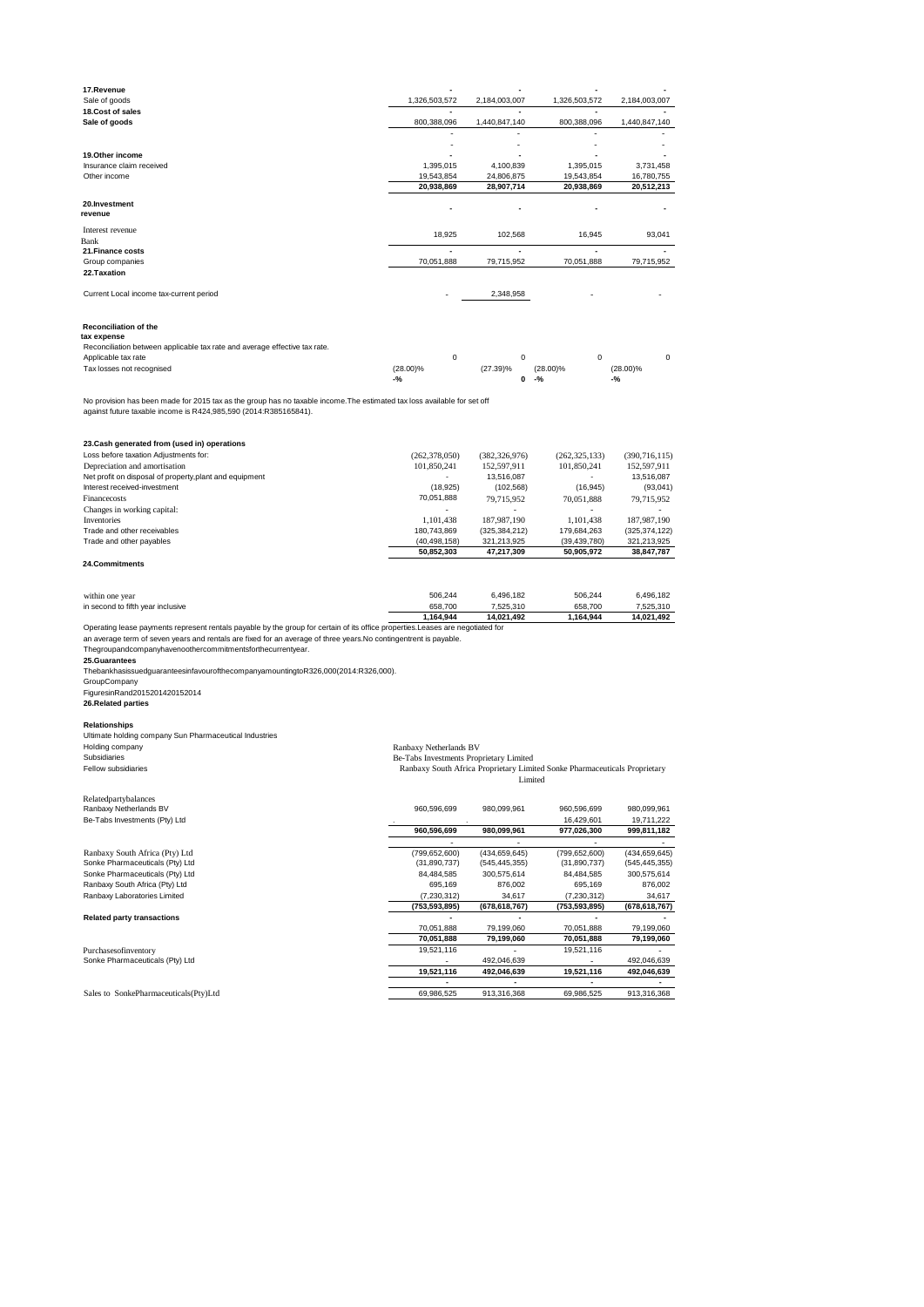| 17.Revenue                              |               |               |               |               |
|-----------------------------------------|---------------|---------------|---------------|---------------|
| Sale of goods                           | 1,326,503,572 | 2,184,003,007 | 1,326,503,572 | 2,184,003,007 |
| 18.Cost of sales                        |               |               |               |               |
| Sale of goods                           | 800,388,096   | 1,440,847,140 | 800,388,096   | 1,440,847,140 |
|                                         | ۰             |               |               |               |
| 19. Other income                        |               |               |               |               |
| Insurance claim received                | 1,395,015     | 4,100,839     | 1,395,015     | 3,731,458     |
| Other income                            | 19,543,854    | 24,806,875    | 19,543,854    | 16,780,755    |
|                                         | 20,938,869    | 28,907,714    | 20,938,869    | 20,512,213    |
| 20.Investment<br>revenue                |               |               |               |               |
| Interest revenue<br>Bank                | 18,925        | 102,568       | 16,945        | 93,041        |
| 21. Finance costs                       |               |               |               |               |
| Group companies                         | 70,051,888    | 79,715,952    | 70,051,888    | 79,715,952    |
| 22.Taxation                             |               |               |               |               |
| Current Local income tax-current period |               | 2,348,958     |               |               |

### **Reconciliation of the**

**tax expense**  Reconciliation between applicable tax rate and average effective tax rate.

| Applicable tax rate       |          |             |   |             |             |  |
|---------------------------|----------|-------------|---|-------------|-------------|--|
| Tax losses not recognised | (28.00)% | $(27.39)\%$ |   | $(28.00)\%$ | $(28.00)\%$ |  |
|                           | •7c      |             | n | $-9/6$      | $-$ %       |  |

No provision has been made for 2015 tax as the group has no taxable income.The estimated tax loss available for set off against future taxable income is R424,985,590 (2014:R385165841).

### **23.Cash generated from (used in) operations**

|                                                         | 50.852.303      | 47.217.309      | 50.905.972               | 38,847,787      |
|---------------------------------------------------------|-----------------|-----------------|--------------------------|-----------------|
| Trade and other pavables                                | (40.498.158)    | 321.213.925     | (39.439.780)             | 321.213.925     |
| Trade and other receivables                             | 180.743.869     | (325, 384, 212) | 179,684,263              | (325, 374, 122) |
| Inventories                                             | 1.101.438       | 187,987,190     | 1.101.438                | 187,987,190     |
| Changes in working capital:                             |                 |                 |                          |                 |
| Financecosts                                            | 70.051.888      | 79.715.952      | 70.051.888               | 79.715.952      |
| Interest received-investment                            | (18.925)        | (102, 568)      | (16, 945)                | (93,041)        |
| Net profit on disposal of property, plant and equipment |                 | 13.516.087      | $\overline{\phantom{a}}$ | 13.516.087      |
| Depreciation and amortisation                           | 101.850.241     | 152.597.911     | 101.850.241              | 152,597.911     |
| Loss before taxation Adjustments for:                   | (262, 378, 050) | (382,326,976)   | (262.325.133)            | (390, 716, 115) |

#### **24.Commitments**

| within one year<br>in second to fifth year inclusive                                                                            | 506.244<br>658,700 | 6.496.182<br>7.525.310 | 506.244<br>658,700 | 6.496.182<br>7.525.310 |
|---------------------------------------------------------------------------------------------------------------------------------|--------------------|------------------------|--------------------|------------------------|
|                                                                                                                                 | 1.164.944          | 14.021.492             | 1.164.944          | 14.021.492             |
| Operating lease payments represent rentals payable by the group for certain of its office properties. Leases are negotiated for |                    |                        |                    |                        |
| an average term of seven years and rentals are fixed for an average of three years. No contingentrent is payable.               |                    |                        |                    |                        |
| Thegroupandcompanyhavenoothercommitmentsforthecurrentyear.                                                                      |                    |                        |                    |                        |

#### **25.Guarantees**

ThebankhasissuedguaranteesinfavourofthecompanyamountingtoR326,000(2014:R326,000).

GroupCompany FiguresinRand2015201420152014 **26.Related parties** `

### **Relationships**

| Ultimate holding company Sun Pharmaceutical Industries |                                                                            |
|--------------------------------------------------------|----------------------------------------------------------------------------|
| Holding company                                        | Ranbaxy Netherlands BV                                                     |
| Subsidiaries                                           | Be-Tabs Investments Proprietary Limited                                    |
| Fellow subsidiaries                                    | Ranbaxy South Africa Proprietary Limited Sonke Pharmaceuticals Proprietary |
|                                                        | Limited                                                                    |

# Relatedpartybalances<br>Ranbaxy Netherlands BV

| RefatedDal typalatices                |                 |                 |                 |                 |
|---------------------------------------|-----------------|-----------------|-----------------|-----------------|
| Ranbaxy Netherlands BV                | 960,596,699     | 980,099,961     | 960,596,699     | 980,099,961     |
| Be-Tabs Investments (Pty) Ltd         |                 |                 | 16,429,601      | 19,711,222      |
|                                       | 960.596.699     | 980.099.961     | 977.026.300     | 999.811.182     |
|                                       |                 |                 |                 |                 |
| Ranbaxy South Africa (Pty) Ltd        | (799,652,600)   | (434, 659, 645) | (799,652,600)   | (434,659,645)   |
| Sonke Pharmaceuticals (Pty) Ltd       | (31,890,737)    | (545, 445, 355) | (31, 890, 737)  | (545, 445, 355) |
| Sonke Pharmaceuticals (Pty) Ltd       | 84,484,585      | 300,575,614     | 84,484,585      | 300,575,614     |
| Ranbaxy South Africa (Pty) Ltd        | 695.169         | 876.002         | 695.169         | 876,002         |
| Ranbaxy Laboratories Limited          | (7, 230, 312)   | 34,617          | (7,230,312)     | 34,617          |
|                                       | (753, 593, 895) | (678, 618, 767) | (753, 593, 895) | (678, 618, 767) |
| <b>Related party transactions</b>     |                 |                 |                 |                 |
|                                       | 70,051,888      | 79,199,060      | 70,051,888      | 79,199,060      |
|                                       | 70,051,888      | 79,199,060      | 70,051,888      | 79,199,060      |
| Purchasesofinventory                  | 19.521.116      |                 | 19,521,116      |                 |
| Sonke Pharmaceuticals (Pty) Ltd       |                 | 492,046,639     |                 | 492,046,639     |
|                                       | 19.521.116      | 492.046.639     | 19.521.116      | 492.046.639     |
|                                       |                 |                 |                 |                 |
| Sales to SonkePharmaceuticals(Pty)Ltd | 69,986,525      | 913,316,368     | 69,986,525      | 913,316,368     |